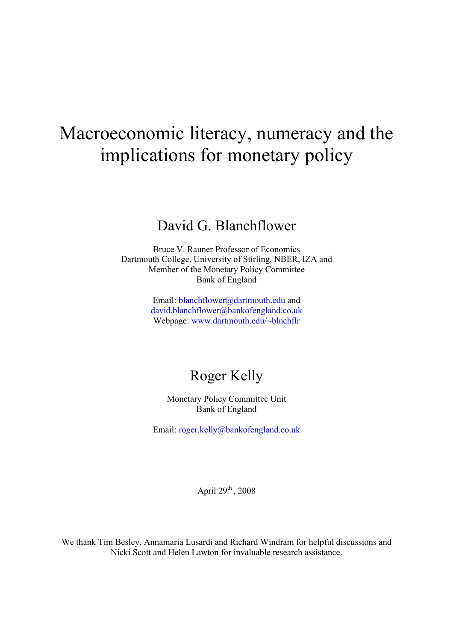# Macroeconomic literacy, numeracy and the implications for monetary policy

# David G. Blanchflower

Bruce V. Rauner Professor of Economics Dartmouth College, University of Stirling, NBER, IZA and Member of the Monetary Policy Committee Bank of England

> Email: blanchflower@dartmouth.edu and david.blanchflower@bankofengland.co.uk Webpage: www.dartmouth.edu/~blnchflr

# Roger Kelly

Monetary Policy Committee Unit Bank of England

Email: roger.kelly@bankofengland.co.uk

April  $29^{th}$ ,  $2008$ 

We thank Tim Besley, Annamaria Lusardi and Richard Windram for helpful discussions and Nicki Scott and Helen Lawton for invaluable research assistance.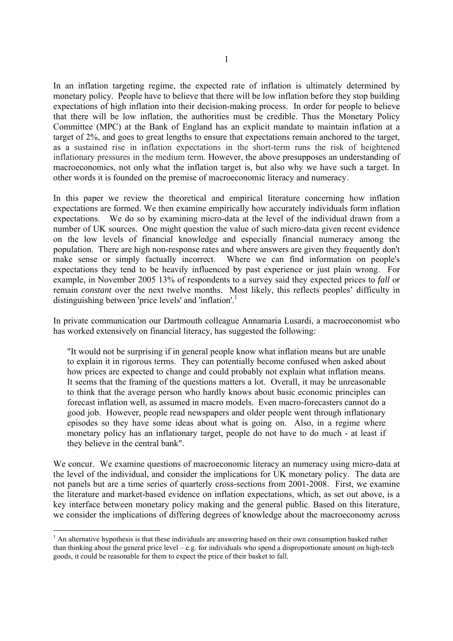In an inflation targeting regime, the expected rate of inflation is ultimately determined by monetary policy. People have to believe that there will be low inflation before they stop building expectations of high inflation into their decision-making process. In order for people to believe that there will be low inflation, the authorities must be credible. Thus the Monetary Policy Committee (MPC) at the Bank of England has an explicit mandate to maintain inflation at a target of 2%, and goes to great lengths to ensure that expectations remain anchored to the target, as a sustained rise in inflation expectations in the short-term runs the risk of heightened inflationary pressures in the medium term. However, the above presupposes an understanding of macroeconomics, not only what the inflation target is, but also why we have such a target. In other words it is founded on the premise of macroeconomic literacy and numeracy.

In this paper we review the theoretical and empirical literature concerning how inflation expectations are formed. We then examine empirically how accurately individuals form inflation expectations. We do so by examining micro-data at the level of the individual drawn from a number of UK sources. One might question the value of such micro-data given recent evidence on the low levels of financial knowledge and especially financial numeracy among the population. There are high non-response rates and where answers are given they frequently don't make sense or simply factually incorrect. Where we can find information on people's expectations they tend to be heavily influenced by past experience or just plain wrong. For example, in November 2005 13% of respondents to a survey said they expected prices to *fall* or remain *constant* over the next twelve months. Most likely, this reflects peoples' difficulty in distinguishing between 'price levels' and 'inflation'.<sup>1</sup>

In private communication our Dartmouth colleague Annamaria Lusardi, a macroeconomist who has worked extensively on financial literacy, has suggested the following:

"It would not be surprising if in general people know what inflation means but are unable to explain it in rigorous terms. They can potentially become confused when asked about how prices are expected to change and could probably not explain what inflation means. It seems that the framing of the questions matters a lot. Overall, it may be unreasonable to think that the average person who hardly knows about basic economic principles can forecast inflation well, as assumed in macro models. Even macro-forecasters cannot do a good job. However, people read newspapers and older people went through inflationary episodes so they have some ideas about what is going on. Also, in a regime where monetary policy has an inflationary target, people do not have to do much - at least if they believe in the central bank".

We concur. We examine questions of macroeconomic literacy an numeracy using micro-data at the level of the individual, and consider the implications for UK monetary policy. The data are not panels but are a time series of quarterly cross-sections from 2001-2008. First, we examine the literature and market-based evidence on inflation expectations, which, as set out above, is a key interface between monetary policy making and the general public. Based on this literature, we consider the implications of differing degrees of knowledge about the macroeconomy across

-

 $<sup>1</sup>$  An alternative hypothesis is that these individuals are answering based on their own consumption basked rather</sup> than thinking about the general price level – e.g. for individuals who spend a disproportionate amount on high-tech goods, it could be reasonable for them to expect the price of their basket to fall.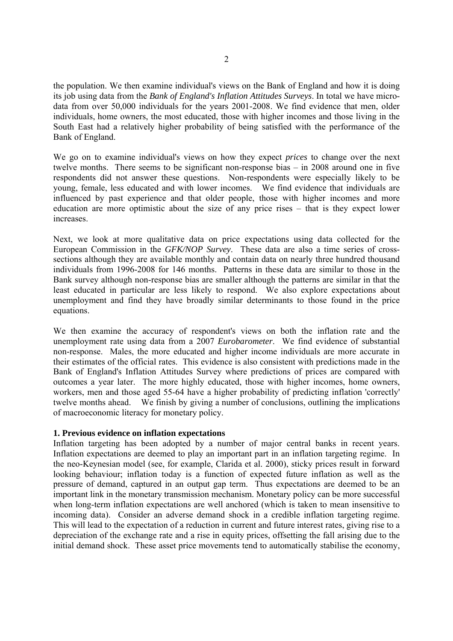the population. We then examine individual's views on the Bank of England and how it is doing its job using data from the *Bank of England's Inflation Attitudes Surveys*. In total we have microdata from over 50,000 individuals for the years 2001-2008. We find evidence that men, older individuals, home owners, the most educated, those with higher incomes and those living in the South East had a relatively higher probability of being satisfied with the performance of the Bank of England.

We go on to examine individual's views on how they expect *prices* to change over the next twelve months. There seems to be significant non-response bias – in 2008 around one in five respondents did not answer these questions. Non-respondents were especially likely to be young, female, less educated and with lower incomes. We find evidence that individuals are influenced by past experience and that older people, those with higher incomes and more education are more optimistic about the size of any price rises – that is they expect lower increases.

Next, we look at more qualitative data on price expectations using data collected for the European Commission in the *GFK/NOP Survey*. These data are also a time series of crosssections although they are available monthly and contain data on nearly three hundred thousand individuals from 1996-2008 for 146 months. Patterns in these data are similar to those in the Bank survey although non-response bias are smaller although the patterns are similar in that the least educated in particular are less likely to respond. We also explore expectations about unemployment and find they have broadly similar determinants to those found in the price equations.

We then examine the accuracy of respondent's views on both the inflation rate and the unemployment rate using data from a 2007 *Eurobarometer*. We find evidence of substantial non-response. Males, the more educated and higher income individuals are more accurate in their estimates of the official rates. This evidence is also consistent with predictions made in the Bank of England's Inflation Attitudes Survey where predictions of prices are compared with outcomes a year later. The more highly educated, those with higher incomes, home owners, workers, men and those aged 55-64 have a higher probability of predicting inflation 'correctly' twelve months ahead. We finish by giving a number of conclusions, outlining the implications of macroeconomic literacy for monetary policy.

# **1. Previous evidence on inflation expectations**

Inflation targeting has been adopted by a number of major central banks in recent years. Inflation expectations are deemed to play an important part in an inflation targeting regime. In the neo-Keynesian model (see, for example, Clarida et al. 2000), sticky prices result in forward looking behaviour; inflation today is a function of expected future inflation as well as the pressure of demand, captured in an output gap term. Thus expectations are deemed to be an important link in the monetary transmission mechanism. Monetary policy can be more successful when long-term inflation expectations are well anchored (which is taken to mean insensitive to incoming data). Consider an adverse demand shock in a credible inflation targeting regime. This will lead to the expectation of a reduction in current and future interest rates, giving rise to a depreciation of the exchange rate and a rise in equity prices, offsetting the fall arising due to the initial demand shock. These asset price movements tend to automatically stabilise the economy,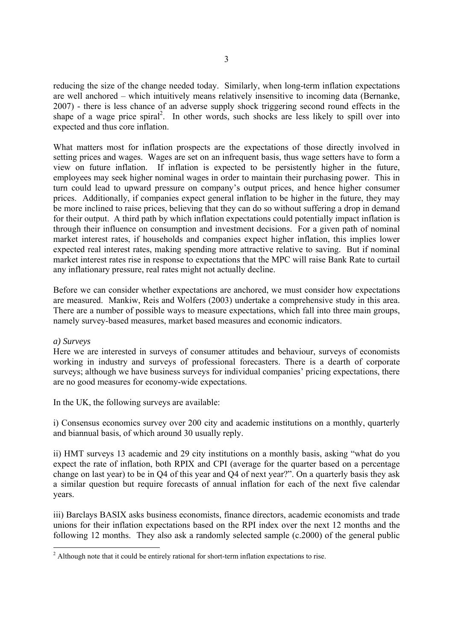reducing the size of the change needed today. Similarly, when long-term inflation expectations are well anchored – which intuitively means relatively insensitive to incoming data (Bernanke, 2007) - there is less chance of an adverse supply shock triggering second round effects in the shape of a wage price spiral<sup>2</sup>. In other words, such shocks are less likely to spill over into expected and thus core inflation.

What matters most for inflation prospects are the expectations of those directly involved in setting prices and wages. Wages are set on an infrequent basis, thus wage setters have to form a view on future inflation. If inflation is expected to be persistently higher in the future, employees may seek higher nominal wages in order to maintain their purchasing power. This in turn could lead to upward pressure on company's output prices, and hence higher consumer prices. Additionally, if companies expect general inflation to be higher in the future, they may be more inclined to raise prices, believing that they can do so without suffering a drop in demand for their output. A third path by which inflation expectations could potentially impact inflation is through their influence on consumption and investment decisions. For a given path of nominal market interest rates, if households and companies expect higher inflation, this implies lower expected real interest rates, making spending more attractive relative to saving. But if nominal market interest rates rise in response to expectations that the MPC will raise Bank Rate to curtail any inflationary pressure, real rates might not actually decline.

Before we can consider whether expectations are anchored, we must consider how expectations are measured. Mankiw, Reis and Wolfers (2003) undertake a comprehensive study in this area. There are a number of possible ways to measure expectations, which fall into three main groups, namely survey-based measures, market based measures and economic indicators.

# *a) Surveys*

-

Here we are interested in surveys of consumer attitudes and behaviour, surveys of economists working in industry and surveys of professional forecasters. There is a dearth of corporate surveys; although we have business surveys for individual companies' pricing expectations, there are no good measures for economy-wide expectations.

In the UK, the following surveys are available:

i) Consensus economics survey over 200 city and academic institutions on a monthly, quarterly and biannual basis, of which around 30 usually reply.

ii) HMT surveys 13 academic and 29 city institutions on a monthly basis, asking "what do you expect the rate of inflation, both RPIX and CPI (average for the quarter based on a percentage change on last year) to be in Q4 of this year and Q4 of next year?". On a quarterly basis they ask a similar question but require forecasts of annual inflation for each of the next five calendar years.

iii) Barclays BASIX asks business economists, finance directors, academic economists and trade unions for their inflation expectations based on the RPI index over the next 12 months and the following 12 months. They also ask a randomly selected sample (c.2000) of the general public

 $2$  Although note that it could be entirely rational for short-term inflation expectations to rise.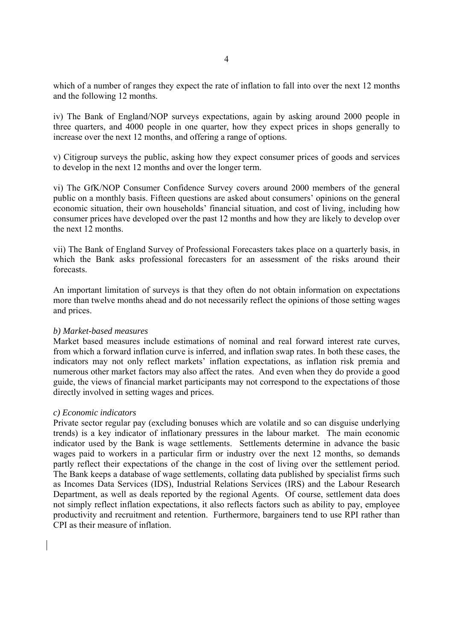which of a number of ranges they expect the rate of inflation to fall into over the next 12 months and the following 12 months.

iv) The Bank of England/NOP surveys expectations, again by asking around 2000 people in three quarters, and 4000 people in one quarter, how they expect prices in shops generally to increase over the next 12 months, and offering a range of options.

v) Citigroup surveys the public, asking how they expect consumer prices of goods and services to develop in the next 12 months and over the longer term.

vi) The GfK/NOP Consumer Confidence Survey covers around 2000 members of the general public on a monthly basis. Fifteen questions are asked about consumers' opinions on the general economic situation, their own households' financial situation, and cost of living, including how consumer prices have developed over the past 12 months and how they are likely to develop over the next 12 months.

vii) The Bank of England Survey of Professional Forecasters takes place on a quarterly basis, in which the Bank asks professional forecasters for an assessment of the risks around their forecasts.

An important limitation of surveys is that they often do not obtain information on expectations more than twelve months ahead and do not necessarily reflect the opinions of those setting wages and prices.

# *b) Market-based measures*

Market based measures include estimations of nominal and real forward interest rate curves, from which a forward inflation curve is inferred, and inflation swap rates. In both these cases, the indicators may not only reflect markets' inflation expectations, as inflation risk premia and numerous other market factors may also affect the rates. And even when they do provide a good guide, the views of financial market participants may not correspond to the expectations of those directly involved in setting wages and prices.

# *c) Economic indicators*

Private sector regular pay (excluding bonuses which are volatile and so can disguise underlying trends) is a key indicator of inflationary pressures in the labour market. The main economic indicator used by the Bank is wage settlements. Settlements determine in advance the basic wages paid to workers in a particular firm or industry over the next 12 months, so demands partly reflect their expectations of the change in the cost of living over the settlement period. The Bank keeps a database of wage settlements, collating data published by specialist firms such as Incomes Data Services (IDS), Industrial Relations Services (IRS) and the Labour Research Department, as well as deals reported by the regional Agents. Of course, settlement data does not simply reflect inflation expectations, it also reflects factors such as ability to pay, employee productivity and recruitment and retention. Furthermore, bargainers tend to use RPI rather than CPI as their measure of inflation.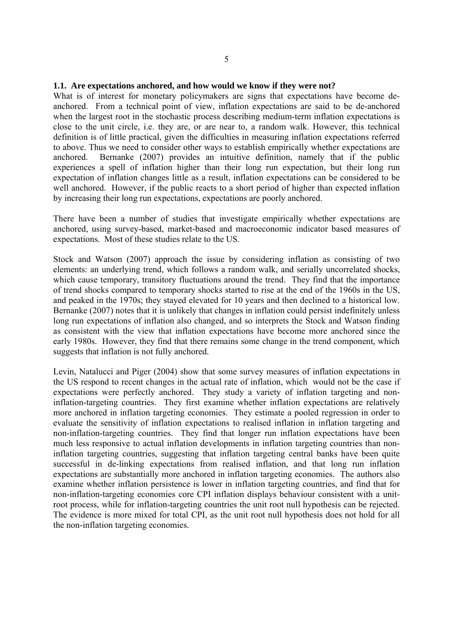#### **1.1. Are expectations anchored, and how would we know if they were not?**

What is of interest for monetary policymakers are signs that expectations have become deanchored. From a technical point of view, inflation expectations are said to be de-anchored when the largest root in the stochastic process describing medium-term inflation expectations is close to the unit circle, i.e. they are, or are near to, a random walk. However, this technical definition is of little practical, given the difficulties in measuring inflation expectations referred to above. Thus we need to consider other ways to establish empirically whether expectations are anchored. Bernanke (2007) provides an intuitive definition, namely that if the public experiences a spell of inflation higher than their long run expectation, but their long run expectation of inflation changes little as a result, inflation expectations can be considered to be well anchored. However, if the public reacts to a short period of higher than expected inflation by increasing their long run expectations, expectations are poorly anchored.

There have been a number of studies that investigate empirically whether expectations are anchored, using survey-based, market-based and macroeconomic indicator based measures of expectations. Most of these studies relate to the US.

Stock and Watson (2007) approach the issue by considering inflation as consisting of two elements: an underlying trend, which follows a random walk, and serially uncorrelated shocks, which cause temporary, transitory fluctuations around the trend. They find that the importance of trend shocks compared to temporary shocks started to rise at the end of the 1960s in the US, and peaked in the 1970s; they stayed elevated for 10 years and then declined to a historical low. Bernanke (2007) notes that it is unlikely that changes in inflation could persist indefinitely unless long run expectations of inflation also changed, and so interprets the Stock and Watson finding as consistent with the view that inflation expectations have become more anchored since the early 1980s. However, they find that there remains some change in the trend component, which suggests that inflation is not fully anchored.

Levin, Natalucci and Piger (2004) show that some survey measures of inflation expectations in the US respond to recent changes in the actual rate of inflation, which would not be the case if expectations were perfectly anchored. They study a variety of inflation targeting and noninflation-targeting countries. They first examine whether inflation expectations are relatively more anchored in inflation targeting economies. They estimate a pooled regression in order to evaluate the sensitivity of inflation expectations to realised inflation in inflation targeting and non-inflation-targeting countries. They find that longer run inflation expectations have been much less responsive to actual inflation developments in inflation targeting countries than noninflation targeting countries, suggesting that inflation targeting central banks have been quite successful in de-linking expectations from realised inflation, and that long run inflation expectations are substantially more anchored in inflation targeting economies. The authors also examine whether inflation persistence is lower in inflation targeting countries, and find that for non-inflation-targeting economies core CPI inflation displays behaviour consistent with a unitroot process, while for inflation-targeting countries the unit root null hypothesis can be rejected. The evidence is more mixed for total CPI, as the unit root null hypothesis does not hold for all the non-inflation targeting economies.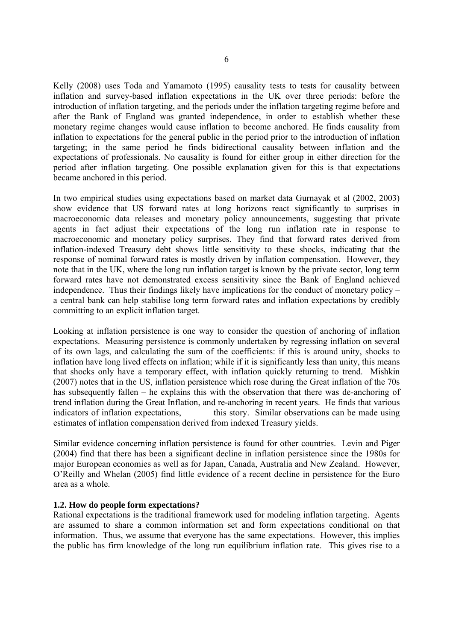Kelly (2008) uses Toda and Yamamoto (1995) causality tests to tests for causality between inflation and survey-based inflation expectations in the UK over three periods: before the introduction of inflation targeting, and the periods under the inflation targeting regime before and after the Bank of England was granted independence, in order to establish whether these monetary regime changes would cause inflation to become anchored. He finds causality from inflation to expectations for the general public in the period prior to the introduction of inflation targeting; in the same period he finds bidirectional causality between inflation and the expectations of professionals. No causality is found for either group in either direction for the period after inflation targeting. One possible explanation given for this is that expectations became anchored in this period.

In two empirical studies using expectations based on market data Gurnayak et al (2002, 2003) show evidence that US forward rates at long horizons react significantly to surprises in macroeconomic data releases and monetary policy announcements, suggesting that private agents in fact adjust their expectations of the long run inflation rate in response to macroeconomic and monetary policy surprises. They find that forward rates derived from inflation-indexed Treasury debt shows little sensitivity to these shocks, indicating that the response of nominal forward rates is mostly driven by inflation compensation. However, they note that in the UK, where the long run inflation target is known by the private sector, long term forward rates have not demonstrated excess sensitivity since the Bank of England achieved independence. Thus their findings likely have implications for the conduct of monetary policy – a central bank can help stabilise long term forward rates and inflation expectations by credibly committing to an explicit inflation target.

Looking at inflation persistence is one way to consider the question of anchoring of inflation expectations. Measuring persistence is commonly undertaken by regressing inflation on several of its own lags, and calculating the sum of the coefficients: if this is around unity, shocks to inflation have long lived effects on inflation; while if it is significantly less than unity, this means that shocks only have a temporary effect, with inflation quickly returning to trend. Mishkin (2007) notes that in the US, inflation persistence which rose during the Great inflation of the 70s has subsequently fallen – he explains this with the observation that there was de-anchoring of trend inflation during the Great Inflation, and re-anchoring in recent years. He finds that various indicators of inflation expectations, this story. Similar observations can be made using estimates of inflation compensation derived from indexed Treasury yields.

Similar evidence concerning inflation persistence is found for other countries. Levin and Piger (2004) find that there has been a significant decline in inflation persistence since the 1980s for major European economies as well as for Japan, Canada, Australia and New Zealand. However, O'Reilly and Whelan (2005) find little evidence of a recent decline in persistence for the Euro area as a whole.

# **1.2. How do people form expectations?**

Rational expectations is the traditional framework used for modeling inflation targeting. Agents are assumed to share a common information set and form expectations conditional on that information. Thus, we assume that everyone has the same expectations. However, this implies the public has firm knowledge of the long run equilibrium inflation rate. This gives rise to a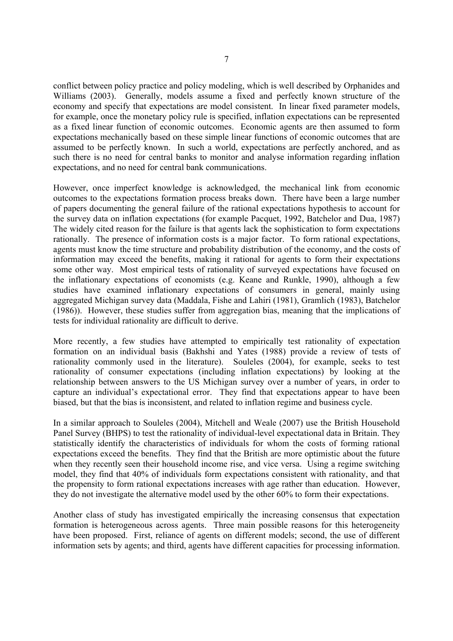conflict between policy practice and policy modeling, which is well described by Orphanides and Williams (2003). Generally, models assume a fixed and perfectly known structure of the economy and specify that expectations are model consistent. In linear fixed parameter models, for example, once the monetary policy rule is specified, inflation expectations can be represented as a fixed linear function of economic outcomes. Economic agents are then assumed to form expectations mechanically based on these simple linear functions of economic outcomes that are assumed to be perfectly known. In such a world, expectations are perfectly anchored, and as such there is no need for central banks to monitor and analyse information regarding inflation expectations, and no need for central bank communications.

However, once imperfect knowledge is acknowledged, the mechanical link from economic outcomes to the expectations formation process breaks down. There have been a large number of papers documenting the general failure of the rational expectations hypothesis to account for the survey data on inflation expectations (for example Pacquet, 1992, Batchelor and Dua, 1987) The widely cited reason for the failure is that agents lack the sophistication to form expectations rationally. The presence of information costs is a major factor. To form rational expectations, agents must know the time structure and probability distribution of the economy, and the costs of information may exceed the benefits, making it rational for agents to form their expectations some other way. Most empirical tests of rationality of surveyed expectations have focused on the inflationary expectations of economists (e.g. Keane and Runkle, 1990), although a few studies have examined inflationary expectations of consumers in general, mainly using aggregated Michigan survey data (Maddala, Fishe and Lahiri (1981), Gramlich (1983), Batchelor (1986)). However, these studies suffer from aggregation bias, meaning that the implications of tests for individual rationality are difficult to derive.

More recently, a few studies have attempted to empirically test rationality of expectation formation on an individual basis (Bakhshi and Yates (1988) provide a review of tests of rationality commonly used in the literature). Souleles (2004), for example, seeks to test rationality of consumer expectations (including inflation expectations) by looking at the relationship between answers to the US Michigan survey over a number of years, in order to capture an individual's expectational error. They find that expectations appear to have been biased, but that the bias is inconsistent, and related to inflation regime and business cycle.

In a similar approach to Souleles (2004), Mitchell and Weale (2007) use the British Household Panel Survey (BHPS) to test the rationality of individual-level expectational data in Britain. They statistically identify the characteristics of individuals for whom the costs of forming rational expectations exceed the benefits. They find that the British are more optimistic about the future when they recently seen their household income rise, and vice versa. Using a regime switching model, they find that 40% of individuals form expectations consistent with rationality, and that the propensity to form rational expectations increases with age rather than education. However, they do not investigate the alternative model used by the other 60% to form their expectations.

Another class of study has investigated empirically the increasing consensus that expectation formation is heterogeneous across agents. Three main possible reasons for this heterogeneity have been proposed. First, reliance of agents on different models; second, the use of different information sets by agents; and third, agents have different capacities for processing information.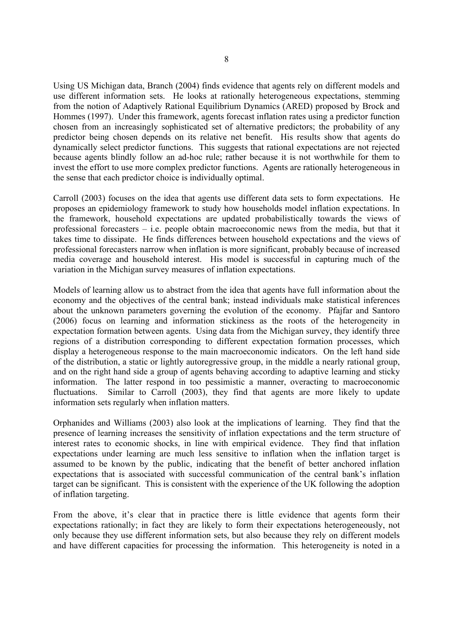Using US Michigan data, Branch (2004) finds evidence that agents rely on different models and use different information sets. He looks at rationally heterogeneous expectations, stemming from the notion of Adaptively Rational Equilibrium Dynamics (ARED) proposed by Brock and Hommes (1997). Under this framework, agents forecast inflation rates using a predictor function chosen from an increasingly sophisticated set of alternative predictors; the probability of any predictor being chosen depends on its relative net benefit. His results show that agents do dynamically select predictor functions. This suggests that rational expectations are not rejected because agents blindly follow an ad-hoc rule; rather because it is not worthwhile for them to invest the effort to use more complex predictor functions. Agents are rationally heterogeneous in the sense that each predictor choice is individually optimal.

Carroll (2003) focuses on the idea that agents use different data sets to form expectations. He proposes an epidemiology framework to study how households model inflation expectations. In the framework, household expectations are updated probabilistically towards the views of professional forecasters – i.e. people obtain macroeconomic news from the media, but that it takes time to dissipate. He finds differences between household expectations and the views of professional forecasters narrow when inflation is more significant, probably because of increased media coverage and household interest. His model is successful in capturing much of the variation in the Michigan survey measures of inflation expectations.

Models of learning allow us to abstract from the idea that agents have full information about the economy and the objectives of the central bank; instead individuals make statistical inferences about the unknown parameters governing the evolution of the economy. Pfajfar and Santoro (2006) focus on learning and information stickiness as the roots of the heterogeneity in expectation formation between agents. Using data from the Michigan survey, they identify three regions of a distribution corresponding to different expectation formation processes, which display a heterogeneous response to the main macroeconomic indicators. On the left hand side of the distribution, a static or lightly autoregressive group, in the middle a nearly rational group, and on the right hand side a group of agents behaving according to adaptive learning and sticky information. The latter respond in too pessimistic a manner, overacting to macroeconomic fluctuations. Similar to Carroll (2003), they find that agents are more likely to update information sets regularly when inflation matters.

Orphanides and Williams (2003) also look at the implications of learning. They find that the presence of learning increases the sensitivity of inflation expectations and the term structure of interest rates to economic shocks, in line with empirical evidence. They find that inflation expectations under learning are much less sensitive to inflation when the inflation target is assumed to be known by the public, indicating that the benefit of better anchored inflation expectations that is associated with successful communication of the central bank's inflation target can be significant. This is consistent with the experience of the UK following the adoption of inflation targeting.

From the above, it's clear that in practice there is little evidence that agents form their expectations rationally; in fact they are likely to form their expectations heterogeneously, not only because they use different information sets, but also because they rely on different models and have different capacities for processing the information. This heterogeneity is noted in a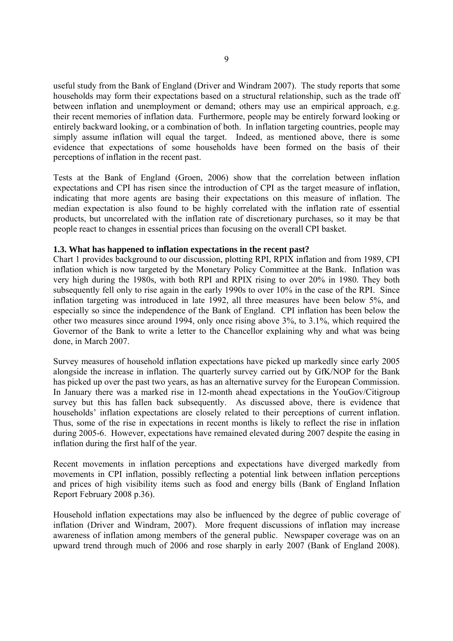useful study from the Bank of England (Driver and Windram 2007). The study reports that some households may form their expectations based on a structural relationship, such as the trade off between inflation and unemployment or demand; others may use an empirical approach, e.g. their recent memories of inflation data. Furthermore, people may be entirely forward looking or entirely backward looking, or a combination of both. In inflation targeting countries, people may simply assume inflation will equal the target. Indeed, as mentioned above, there is some evidence that expectations of some households have been formed on the basis of their perceptions of inflation in the recent past.

Tests at the Bank of England (Groen, 2006) show that the correlation between inflation expectations and CPI has risen since the introduction of CPI as the target measure of inflation, indicating that more agents are basing their expectations on this measure of inflation. The median expectation is also found to be highly correlated with the inflation rate of essential products, but uncorrelated with the inflation rate of discretionary purchases, so it may be that people react to changes in essential prices than focusing on the overall CPI basket.

# **1.3. What has happened to inflation expectations in the recent past?**

Chart 1 provides background to our discussion, plotting RPI, RPIX inflation and from 1989, CPI inflation which is now targeted by the Monetary Policy Committee at the Bank. Inflation was very high during the 1980s, with both RPI and RPIX rising to over 20% in 1980. They both subsequently fell only to rise again in the early 1990s to over 10% in the case of the RPI. Since inflation targeting was introduced in late 1992, all three measures have been below 5%, and especially so since the independence of the Bank of England. CPI inflation has been below the other two measures since around 1994, only once rising above 3%, to 3.1%, which required the Governor of the Bank to write a letter to the Chancellor explaining why and what was being done, in March 2007.

Survey measures of household inflation expectations have picked up markedly since early 2005 alongside the increase in inflation. The quarterly survey carried out by GfK/NOP for the Bank has picked up over the past two years, as has an alternative survey for the European Commission. In January there was a marked rise in 12-month ahead expectations in the YouGov/Citigroup survey but this has fallen back subsequently. As discussed above, there is evidence that households' inflation expectations are closely related to their perceptions of current inflation. Thus, some of the rise in expectations in recent months is likely to reflect the rise in inflation during 2005-6. However, expectations have remained elevated during 2007 despite the easing in inflation during the first half of the year.

Recent movements in inflation perceptions and expectations have diverged markedly from movements in CPI inflation, possibly reflecting a potential link between inflation perceptions and prices of high visibility items such as food and energy bills (Bank of England Inflation Report February 2008 p.36).

Household inflation expectations may also be influenced by the degree of public coverage of inflation (Driver and Windram, 2007). More frequent discussions of inflation may increase awareness of inflation among members of the general public. Newspaper coverage was on an upward trend through much of 2006 and rose sharply in early 2007 (Bank of England 2008).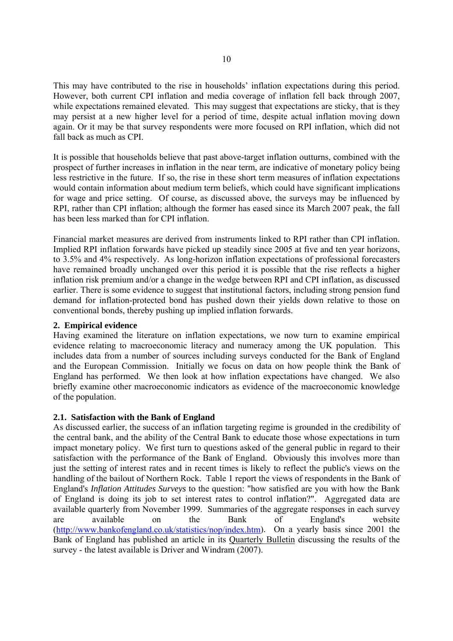This may have contributed to the rise in households' inflation expectations during this period. However, both current CPI inflation and media coverage of inflation fell back through 2007, while expectations remained elevated. This may suggest that expectations are sticky, that is they may persist at a new higher level for a period of time, despite actual inflation moving down again. Or it may be that survey respondents were more focused on RPI inflation, which did not fall back as much as CPI.

It is possible that households believe that past above-target inflation outturns, combined with the prospect of further increases in inflation in the near term, are indicative of monetary policy being less restrictive in the future. If so, the rise in these short term measures of inflation expectations would contain information about medium term beliefs, which could have significant implications for wage and price setting. Of course, as discussed above, the surveys may be influenced by RPI, rather than CPI inflation; although the former has eased since its March 2007 peak, the fall has been less marked than for CPI inflation.

Financial market measures are derived from instruments linked to RPI rather than CPI inflation. Implied RPI inflation forwards have picked up steadily since 2005 at five and ten year horizons, to 3.5% and 4% respectively. As long-horizon inflation expectations of professional forecasters have remained broadly unchanged over this period it is possible that the rise reflects a higher inflation risk premium and/or a change in the wedge between RPI and CPI inflation, as discussed earlier. There is some evidence to suggest that institutional factors, including strong pension fund demand for inflation-protected bond has pushed down their yields down relative to those on conventional bonds, thereby pushing up implied inflation forwards.

# **2. Empirical evidence**

Having examined the literature on inflation expectations, we now turn to examine empirical evidence relating to macroeconomic literacy and numeracy among the UK population. This includes data from a number of sources including surveys conducted for the Bank of England and the European Commission. Initially we focus on data on how people think the Bank of England has performed. We then look at how inflation expectations have changed. We also briefly examine other macroeconomic indicators as evidence of the macroeconomic knowledge of the population.

# **2.1. Satisfaction with the Bank of England**

As discussed earlier, the success of an inflation targeting regime is grounded in the credibility of the central bank, and the ability of the Central Bank to educate those whose expectations in turn impact monetary policy. We first turn to questions asked of the general public in regard to their satisfaction with the performance of the Bank of England. Obviously this involves more than just the setting of interest rates and in recent times is likely to reflect the public's views on the handling of the bailout of Northern Rock. Table 1 report the views of respondents in the Bank of England's *Inflation Attitudes Surveys* to the question: "how satisfied are you with how the Bank of England is doing its job to set interest rates to control inflation?". Aggregated data are available quarterly from November 1999. Summaries of the aggregate responses in each survey are available on the Bank of England's website (http://www.bankofengland.co.uk/statistics/nop/index.htm). On a yearly basis since 2001 the Bank of England has published an article in its Quarterly Bulletin discussing the results of the survey - the latest available is Driver and Windram (2007).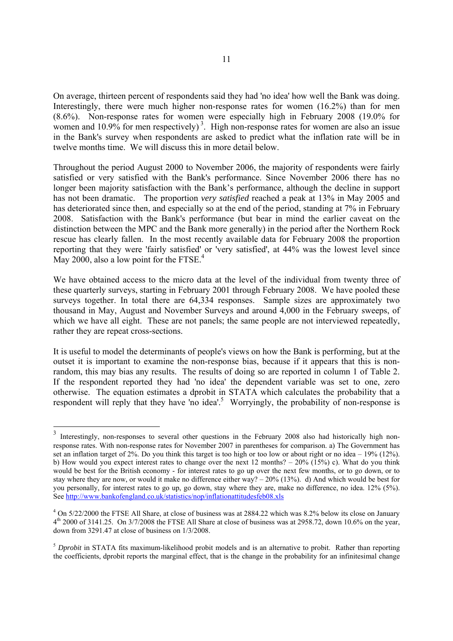On average, thirteen percent of respondents said they had 'no idea' how well the Bank was doing. Interestingly, there were much higher non-response rates for women (16.2%) than for men (8.6%). Non-response rates for women were especially high in February 2008 (19.0% for women and 10.9% for men respectively)<sup>3</sup>. High non-response rates for women are also an issue in the Bank's survey when respondents are asked to predict what the inflation rate will be in twelve months time. We will discuss this in more detail below.

Throughout the period August 2000 to November 2006, the majority of respondents were fairly satisfied or very satisfied with the Bank's performance. Since November 2006 there has no longer been majority satisfaction with the Bank's performance, although the decline in support has not been dramatic. The proportion *very satisfied* reached a peak at 13% in May 2005 and has deteriorated since then, and especially so at the end of the period, standing at 7% in February 2008. Satisfaction with the Bank's performance (but bear in mind the earlier caveat on the distinction between the MPC and the Bank more generally) in the period after the Northern Rock rescue has clearly fallen. In the most recently available data for February 2008 the proportion reporting that they were 'fairly satisfied' or 'very satisfied', at 44% was the lowest level since May 2000, also a low point for the FTSE. $4$ 

We have obtained access to the micro data at the level of the individual from twenty three of these quarterly surveys, starting in February 2001 through February 2008. We have pooled these surveys together. In total there are 64,334 responses. Sample sizes are approximately two thousand in May, August and November Surveys and around 4,000 in the February sweeps, of which we have all eight. These are not panels; the same people are not interviewed repeatedly, rather they are repeat cross-sections.

It is useful to model the determinants of people's views on how the Bank is performing, but at the outset it is important to examine the non-response bias, because if it appears that this is nonrandom, this may bias any results. The results of doing so are reported in column 1 of Table 2. If the respondent reported they had 'no idea' the dependent variable was set to one, zero otherwise. The equation estimates a dprobit in STATA which calculates the probability that a respondent will reply that they have 'no idea'.<sup>5</sup> Worryingly, the probability of non-response is

-

<sup>&</sup>lt;sup>3</sup> Interestingly, non-responses to several other questions in the February 2008 also had historically high nonresponse rates. With non-response rates for November 2007 in parentheses for comparison. a) The Government has set an inflation target of 2%. Do you think this target is too high or too low or about right or no idea – 19% (12%). b) How would you expect interest rates to change over the next 12 months? – 20% (15%) c). What do you think would be best for the British economy - for interest rates to go up over the next few months, or to go down, or to stay where they are now, or would it make no difference either way? – 20% (13%). d) And which would be best for you personally, for interest rates to go up, go down, stay where they are, make no difference, no idea. 12% (5%). See http://www.bankofengland.co.uk/statistics/nop/inflationattitudesfeb08.xls

 $4$  On 5/22/2000 the FTSE All Share, at close of business was at 2884.22 which was 8.2% below its close on January  $4<sup>th</sup>$  2000 of 3141.25. On 3/7/2008 the FTSE All Share at close of business was at 2958.72, down 10.6% on the year, down from 3291.47 at close of business on 1/3/2008.

<sup>&</sup>lt;sup>5</sup> *Dprobit* in STATA fits maximum-likelihood probit models and is an alternative to probit. Rather than reporting the coefficients, dprobit reports the marginal effect, that is the change in the probability for an infinitesimal change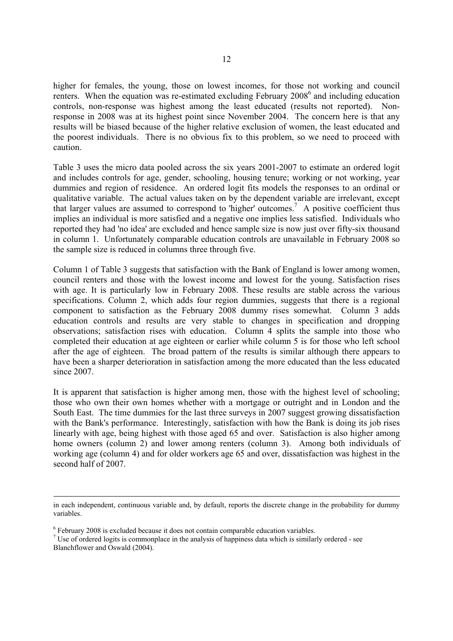higher for females, the young, those on lowest incomes, for those not working and council renters. When the equation was re-estimated excluding February 2008<sup>6</sup> and including education controls, non-response was highest among the least educated (results not reported). Nonresponse in 2008 was at its highest point since November 2004. The concern here is that any results will be biased because of the higher relative exclusion of women, the least educated and the poorest individuals. There is no obvious fix to this problem, so we need to proceed with caution.

Table 3 uses the micro data pooled across the six years 2001-2007 to estimate an ordered logit and includes controls for age, gender, schooling, housing tenure; working or not working, year dummies and region of residence. An ordered logit fits models the responses to an ordinal or qualitative variable. The actual values taken on by the dependent variable are irrelevant, except that larger values are assumed to correspond to 'higher' outcomes.<sup>7</sup> A positive coefficient thus implies an individual is more satisfied and a negative one implies less satisfied. Individuals who reported they had 'no idea' are excluded and hence sample size is now just over fifty-six thousand in column 1. Unfortunately comparable education controls are unavailable in February 2008 so the sample size is reduced in columns three through five.

Column 1 of Table 3 suggests that satisfaction with the Bank of England is lower among women, council renters and those with the lowest income and lowest for the young. Satisfaction rises with age. It is particularly low in February 2008. These results are stable across the various specifications. Column 2, which adds four region dummies, suggests that there is a regional component to satisfaction as the February 2008 dummy rises somewhat. Column 3 adds education controls and results are very stable to changes in specification and dropping observations; satisfaction rises with education. Column 4 splits the sample into those who completed their education at age eighteen or earlier while column 5 is for those who left school after the age of eighteen. The broad pattern of the results is similar although there appears to have been a sharper deterioration in satisfaction among the more educated than the less educated since 2007.

It is apparent that satisfaction is higher among men, those with the highest level of schooling; those who own their own homes whether with a mortgage or outright and in London and the South East. The time dummies for the last three surveys in 2007 suggest growing dissatisfaction with the Bank's performance. Interestingly, satisfaction with how the Bank is doing its job rises linearly with age, being highest with those aged 65 and over. Satisfaction is also higher among home owners (column 2) and lower among renters (column 3). Among both individuals of working age (column 4) and for older workers age 65 and over, dissatisfaction was highest in the second half of 2007.

in each independent, continuous variable and, by default, reports the discrete change in the probability for dummy variables.

 $6$  February 2008 is excluded because it does not contain comparable education variables.

<sup>&</sup>lt;sup>7</sup> Use of ordered logits is commonplace in the analysis of happiness data which is similarly ordered - see Blanchflower and Oswald (2004).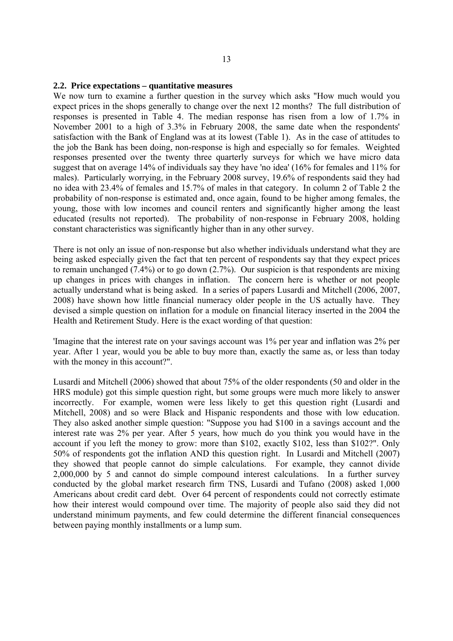#### **2.2. Price expectations – quantitative measures**

We now turn to examine a further question in the survey which asks "How much would you expect prices in the shops generally to change over the next 12 months? The full distribution of responses is presented in Table 4. The median response has risen from a low of 1.7% in November 2001 to a high of 3.3% in February 2008, the same date when the respondents' satisfaction with the Bank of England was at its lowest (Table 1). As in the case of attitudes to the job the Bank has been doing, non-response is high and especially so for females. Weighted responses presented over the twenty three quarterly surveys for which we have micro data suggest that on average 14% of individuals say they have 'no idea' (16% for females and 11% for males). Particularly worrying, in the February 2008 survey, 19.6% of respondents said they had no idea with 23.4% of females and 15.7% of males in that category. In column 2 of Table 2 the probability of non-response is estimated and, once again, found to be higher among females, the young, those with low incomes and council renters and significantly higher among the least educated (results not reported). The probability of non-response in February 2008, holding constant characteristics was significantly higher than in any other survey.

There is not only an issue of non-response but also whether individuals understand what they are being asked especially given the fact that ten percent of respondents say that they expect prices to remain unchanged (7.4%) or to go down (2.7%). Our suspicion is that respondents are mixing up changes in prices with changes in inflation. The concern here is whether or not people actually understand what is being asked. In a series of papers Lusardi and Mitchell (2006, 2007, 2008) have shown how little financial numeracy older people in the US actually have. They devised a simple question on inflation for a module on financial literacy inserted in the 2004 the Health and Retirement Study. Here is the exact wording of that question:

'Imagine that the interest rate on your savings account was 1% per year and inflation was 2% per year. After 1 year, would you be able to buy more than, exactly the same as, or less than today with the money in this account?".

Lusardi and Mitchell (2006) showed that about 75% of the older respondents (50 and older in the HRS module) got this simple question right, but some groups were much more likely to answer incorrectly. For example, women were less likely to get this question right (Lusardi and Mitchell, 2008) and so were Black and Hispanic respondents and those with low education. They also asked another simple question: "Suppose you had \$100 in a savings account and the interest rate was 2% per year. After 5 years, how much do you think you would have in the account if you left the money to grow: more than \$102, exactly \$102, less than \$102?". Only 50% of respondents got the inflation AND this question right. In Lusardi and Mitchell (2007) they showed that people cannot do simple calculations. For example, they cannot divide 2,000,000 by 5 and cannot do simple compound interest calculations. In a further survey conducted by the global market research firm TNS, Lusardi and Tufano (2008) asked 1,000 Americans about credit card debt. Over 64 percent of respondents could not correctly estimate how their interest would compound over time. The majority of people also said they did not understand minimum payments, and few could determine the different financial consequences between paying monthly installments or a lump sum.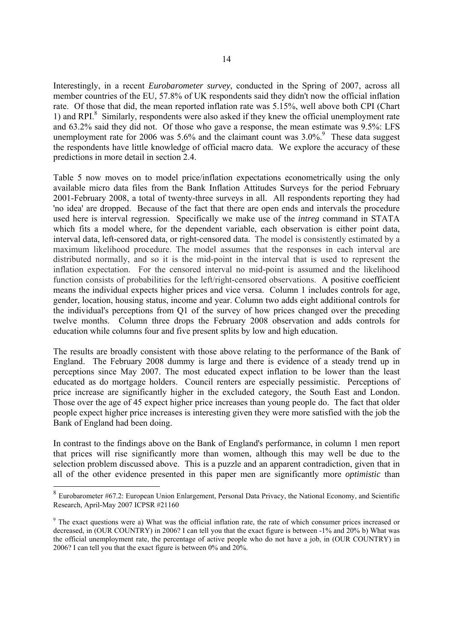Interestingly, in a recent *Eurobarometer survey*, conducted in the Spring of 2007, across all member countries of the EU, 57.8% of UK respondents said they didn't now the official inflation rate. Of those that did, the mean reported inflation rate was 5.15%, well above both CPI (Chart 1) and RPI.<sup>8</sup> Similarly, respondents were also asked if they knew the official unemployment rate and 63.2% said they did not. Of those who gave a response, the mean estimate was 9.5%: LFS unemployment rate for 2006 was  $5.6\%$  and the claimant count was  $3.0\%$ .<sup>9</sup> These data suggest the respondents have little knowledge of official macro data. We explore the accuracy of these predictions in more detail in section 2.4.

Table 5 now moves on to model price/inflation expectations econometrically using the only available micro data files from the Bank Inflation Attitudes Surveys for the period February 2001-February 2008, a total of twenty-three surveys in all. All respondents reporting they had 'no idea' are dropped. Because of the fact that there are open ends and intervals the procedure used here is interval regression. Specifically we make use of the *intreg* command in STATA which fits a model where, for the dependent variable, each observation is either point data, interval data, left-censored data, or right-censored data. The model is consistently estimated by a maximum likelihood procedure. The model assumes that the responses in each interval are distributed normally, and so it is the mid-point in the interval that is used to represent the inflation expectation. For the censored interval no mid-point is assumed and the likelihood function consists of probabilities for the left/right-censored observations. A positive coefficient means the individual expects higher prices and vice versa. Column 1 includes controls for age, gender, location, housing status, income and year. Column two adds eight additional controls for the individual's perceptions from Q1 of the survey of how prices changed over the preceding twelve months. Column three drops the February 2008 observation and adds controls for education while columns four and five present splits by low and high education.

The results are broadly consistent with those above relating to the performance of the Bank of England. The February 2008 dummy is large and there is evidence of a steady trend up in perceptions since May 2007. The most educated expect inflation to be lower than the least educated as do mortgage holders. Council renters are especially pessimistic. Perceptions of price increase are significantly higher in the excluded category, the South East and London. Those over the age of 45 expect higher price increases than young people do. The fact that older people expect higher price increases is interesting given they were more satisfied with the job the Bank of England had been doing.

In contrast to the findings above on the Bank of England's performance, in column 1 men report that prices will rise significantly more than women, although this may well be due to the selection problem discussed above. This is a puzzle and an apparent contradiction, given that in all of the other evidence presented in this paper men are significantly more *optimistic* than

-

<sup>&</sup>lt;sup>8</sup> Eurobarometer #67.2: European Union Enlargement, Personal Data Privacy, the National Economy, and Scientific Research, April-May 2007 ICPSR #21160

<sup>&</sup>lt;sup>9</sup> The exact questions were a) What was the official inflation rate, the rate of which consumer prices increased or decreased, in (OUR COUNTRY) in 2006? I can tell you that the exact figure is between -1% and 20% b) What was the official unemployment rate, the percentage of active people who do not have a job, in (OUR COUNTRY) in 2006? I can tell you that the exact figure is between 0% and 20%.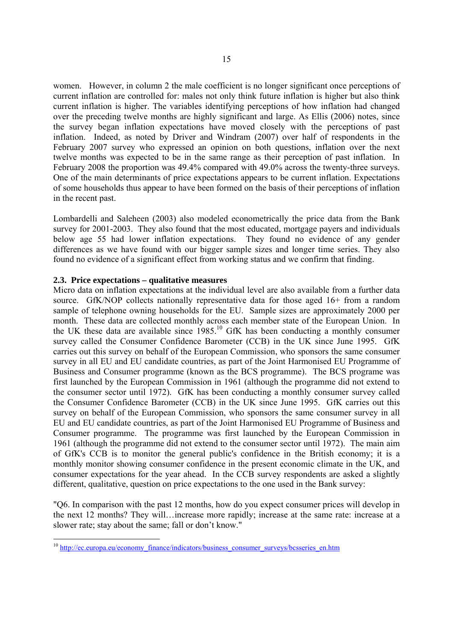women. However, in column 2 the male coefficient is no longer significant once perceptions of current inflation are controlled for: males not only think future inflation is higher but also think current inflation is higher. The variables identifying perceptions of how inflation had changed over the preceding twelve months are highly significant and large. As Ellis (2006) notes, since the survey began inflation expectations have moved closely with the perceptions of past inflation. Indeed, as noted by Driver and Windram (2007) over half of respondents in the February 2007 survey who expressed an opinion on both questions, inflation over the next twelve months was expected to be in the same range as their perception of past inflation. In February 2008 the proportion was 49.4% compared with 49.0% across the twenty-three surveys. One of the main determinants of price expectations appears to be current inflation. Expectations of some households thus appear to have been formed on the basis of their perceptions of inflation in the recent past.

Lombardelli and Saleheen (2003) also modeled econometrically the price data from the Bank survey for 2001-2003. They also found that the most educated, mortgage payers and individuals below age 55 had lower inflation expectations. They found no evidence of any gender differences as we have found with our bigger sample sizes and longer time series. They also found no evidence of a significant effect from working status and we confirm that finding.

# **2.3. Price expectations – qualitative measures**

-

Micro data on inflation expectations at the individual level are also available from a further data source. GfK/NOP collects nationally representative data for those aged 16+ from a random sample of telephone owning households for the EU. Sample sizes are approximately 2000 per month. These data are collected monthly across each member state of the European Union. In the UK these data are available since 1985.10 GfK has been conducting a monthly consumer survey called the Consumer Confidence Barometer (CCB) in the UK since June 1995. GfK carries out this survey on behalf of the European Commission, who sponsors the same consumer survey in all EU and EU candidate countries, as part of the Joint Harmonised EU Programme of Business and Consumer programme (known as the BCS programme). The BCS programe was first launched by the European Commission in 1961 (although the programme did not extend to the consumer sector until 1972). GfK has been conducting a monthly consumer survey called the Consumer Confidence Barometer (CCB) in the UK since June 1995. GfK carries out this survey on behalf of the European Commission, who sponsors the same consumer survey in all EU and EU candidate countries, as part of the Joint Harmonised EU Programme of Business and Consumer programme. The programme was first launched by the European Commission in 1961 (although the programme did not extend to the consumer sector until 1972). The main aim of GfK's CCB is to monitor the general public's confidence in the British economy; it is a monthly monitor showing consumer confidence in the present economic climate in the UK, and consumer expectations for the year ahead. In the CCB survey respondents are asked a slightly different, qualitative, question on price expectations to the one used in the Bank survey:

"Q6. In comparison with the past 12 months, how do you expect consumer prices will develop in the next 12 months? They will…increase more rapidly; increase at the same rate: increase at a slower rate; stay about the same; fall or don't know."

<sup>&</sup>lt;sup>10</sup> http://ec.europa.eu/economy\_finance/indicators/business\_consumer\_surveys/bcsseries\_en.htm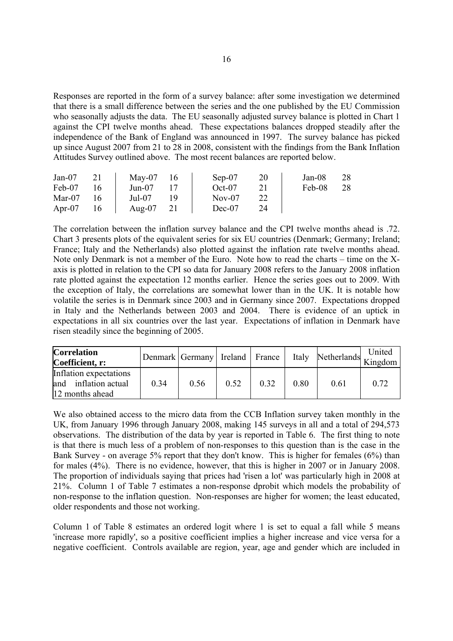Responses are reported in the form of a survey balance: after some investigation we determined that there is a small difference between the series and the one published by the EU Commission who seasonally adjusts the data. The EU seasonally adjusted survey balance is plotted in Chart 1 against the CPI twelve months ahead. These expectations balances dropped steadily after the independence of the Bank of England was announced in 1997. The survey balance has picked up since August 2007 from 21 to 28 in 2008, consistent with the findings from the Bank Inflation Attitudes Survey outlined above. The most recent balances are reported below.

| $Jan-07$  | 21 | $\text{Mav-07}$ | -16 | $Sep-07$ | 20 | Jan-08 | 28 |
|-----------|----|-----------------|-----|----------|----|--------|----|
| Feb-07    | 16 | Jun-07          |     | $Oct-07$ |    | Feb-08 | 28 |
| Mar- $07$ | 16 | Jul-07          |     | $Nov-07$ |    |        |    |
| Apr-07    | 16 | Aug- $07$       | 21  | $Dec-07$ | 24 |        |    |

The correlation between the inflation survey balance and the CPI twelve months ahead is .72. Chart 3 presents plots of the equivalent series for six EU countries (Denmark; Germany; Ireland; France; Italy and the Netherlands) also plotted against the inflation rate twelve months ahead. Note only Denmark is not a member of the Euro. Note how to read the charts – time on the Xaxis is plotted in relation to the CPI so data for January 2008 refers to the January 2008 inflation rate plotted against the expectation 12 months earlier. Hence the series goes out to 2009. With the exception of Italy, the correlations are somewhat lower than in the UK. It is notable how volatile the series is in Denmark since 2003 and in Germany since 2007. Expectations dropped in Italy and the Netherlands between 2003 and 2004. There is evidence of an uptick in expectations in all six countries over the last year. Expectations of inflation in Denmark have risen steadily since the beginning of 2005.

| <b>Correlation</b><br>Coefficient, r:                             | Denmark Germany Ireland France |      |      |      | Italy | any Netherlands Kingdom | United |
|-------------------------------------------------------------------|--------------------------------|------|------|------|-------|-------------------------|--------|
| Inflation expectations<br>and inflation actual<br>12 months ahead | 0.34                           | 0.56 | 0.52 | 0.32 | 0.80  | 0.61                    | 0.72   |

We also obtained access to the micro data from the CCB Inflation survey taken monthly in the UK, from January 1996 through January 2008, making 145 surveys in all and a total of 294,573 observations. The distribution of the data by year is reported in Table 6. The first thing to note is that there is much less of a problem of non-responses to this question than is the case in the Bank Survey - on average 5% report that they don't know. This is higher for females (6%) than for males (4%). There is no evidence, however, that this is higher in 2007 or in January 2008. The proportion of individuals saying that prices had 'risen a lot' was particularly high in 2008 at 21%. Column 1 of Table 7 estimates a non-response dprobit which models the probability of non-response to the inflation question. Non-responses are higher for women; the least educated, older respondents and those not working.

Column 1 of Table 8 estimates an ordered logit where 1 is set to equal a fall while 5 means 'increase more rapidly', so a positive coefficient implies a higher increase and vice versa for a negative coefficient. Controls available are region, year, age and gender which are included in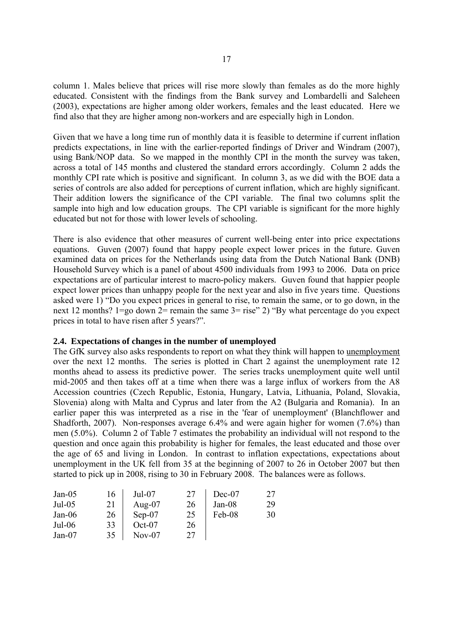column 1. Males believe that prices will rise more slowly than females as do the more highly educated. Consistent with the findings from the Bank survey and Lombardelli and Saleheen (2003), expectations are higher among older workers, females and the least educated. Here we find also that they are higher among non-workers and are especially high in London.

Given that we have a long time run of monthly data it is feasible to determine if current inflation predicts expectations, in line with the earlier-reported findings of Driver and Windram (2007), using Bank/NOP data. So we mapped in the monthly CPI in the month the survey was taken, across a total of 145 months and clustered the standard errors accordingly. Column 2 adds the monthly CPI rate which is positive and significant. In column 3, as we did with the BOE data a series of controls are also added for perceptions of current inflation, which are highly significant. Their addition lowers the significance of the CPI variable. The final two columns split the sample into high and low education groups. The CPI variable is significant for the more highly educated but not for those with lower levels of schooling.

There is also evidence that other measures of current well-being enter into price expectations equations. Guven (2007) found that happy people expect lower prices in the future. Guven examined data on prices for the Netherlands using data from the Dutch National Bank (DNB) Household Survey which is a panel of about 4500 individuals from 1993 to 2006. Data on price expectations are of particular interest to macro-policy makers. Guven found that happier people expect lower prices than unhappy people for the next year and also in five years time. Questions asked were 1) "Do you expect prices in general to rise, to remain the same, or to go down, in the next 12 months? 1=go down 2= remain the same 3= rise" 2) "By what percentage do you expect prices in total to have risen after 5 years?".

# **2.4. Expectations of changes in the number of unemployed**

The GfK survey also asks respondents to report on what they think will happen to unemployment over the next 12 months. The series is plotted in Chart 2 against the unemployment rate 12 months ahead to assess its predictive power. The series tracks unemployment quite well until mid-2005 and then takes off at a time when there was a large influx of workers from the A8 Accession countries (Czech Republic, Estonia, Hungary, Latvia, Lithuania, Poland, Slovakia, Slovenia) along with Malta and Cyprus and later from the A2 (Bulgaria and Romania). In an earlier paper this was interpreted as a rise in the 'fear of unemployment' (Blanchflower and Shadforth, 2007). Non-responses average 6.4% and were again higher for women (7.6%) than men (5.0%). Column 2 of Table 7 estimates the probability an individual will not respond to the question and once again this probability is higher for females, the least educated and those over the age of 65 and living in London. In contrast to inflation expectations, expectations about unemployment in the UK fell from 35 at the beginning of 2007 to 26 in October 2007 but then started to pick up in 2008, rising to 30 in February 2008. The balances were as follows.

| Jan- $05$ | 16 | $Jul-07$  | 27 | $Dec-07$ | 27 |
|-----------|----|-----------|----|----------|----|
| $Jul-05$  | 21 | Aug- $07$ | 26 | $Jan-08$ | 29 |
| Jan-06    | 26 | $Sep-07$  | 25 | Feb-08   | 30 |
| $Jul-06$  | 33 | $Oct-07$  | 26 |          |    |
| $Jan-07$  | 35 | $Nov-07$  | 27 |          |    |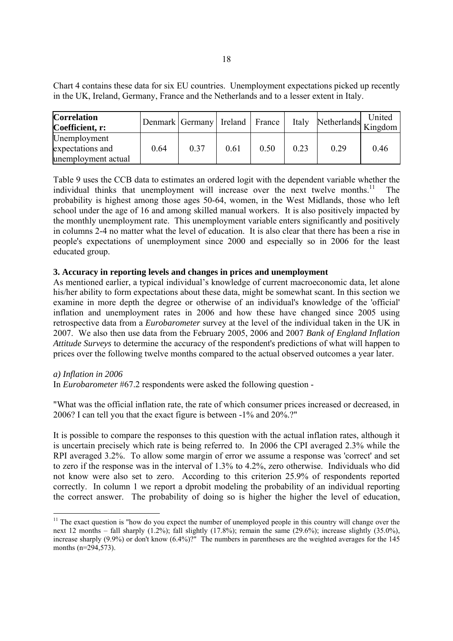Chart 4 contains these data for six EU countries. Unemployment expectations picked up recently in the UK, Ireland, Germany, France and the Netherlands and to a lesser extent in Italy.

| <b>Correlation</b><br>Coefficient, r:                   |      | Denmark Germany   Ireland   France |      |      | Italy | any Netherlands Kingdom | United |
|---------------------------------------------------------|------|------------------------------------|------|------|-------|-------------------------|--------|
| Unemployment<br>expectations and<br>unemployment actual | 0.64 | 0.37                               | 0.61 | 0.50 | 0.23  | 0.29                    | 0.46   |

Table 9 uses the CCB data to estimates an ordered logit with the dependent variable whether the individual thinks that unemployment will increase over the next twelve months. $11$  The probability is highest among those ages 50-64, women, in the West Midlands, those who left school under the age of 16 and among skilled manual workers. It is also positively impacted by the monthly unemployment rate. This unemployment variable enters significantly and positively in columns 2-4 no matter what the level of education. It is also clear that there has been a rise in people's expectations of unemployment since 2000 and especially so in 2006 for the least educated group.

# **3. Accuracy in reporting levels and changes in prices and unemployment**

As mentioned earlier, a typical individual's knowledge of current macroeconomic data, let alone his/her ability to form expectations about these data, might be somewhat scant. In this section we examine in more depth the degree or otherwise of an individual's knowledge of the 'official' inflation and unemployment rates in 2006 and how these have changed since 2005 using retrospective data from a *Eurobarometer* survey at the level of the individual taken in the UK in 2007. We also then use data from the February 2005, 2006 and 2007 *Bank of England Inflation Attitude Surveys* to determine the accuracy of the respondent's predictions of what will happen to prices over the following twelve months compared to the actual observed outcomes a year later.

# *a) Inflation in 2006*

-

In *Eurobarometer* #67.2 respondents were asked the following question -

"What was the official inflation rate, the rate of which consumer prices increased or decreased, in 2006? I can tell you that the exact figure is between -1% and 20%.?"

It is possible to compare the responses to this question with the actual inflation rates, although it is uncertain precisely which rate is being referred to. In 2006 the CPI averaged 2.3% while the RPI averaged 3.2%. To allow some margin of error we assume a response was 'correct' and set to zero if the response was in the interval of 1.3% to 4.2%, zero otherwise. Individuals who did not know were also set to zero. According to this criterion 25.9% of respondents reported correctly. In column 1 we report a dprobit modeling the probability of an individual reporting the correct answer. The probability of doing so is higher the higher the level of education,

 $11$  The exact question is "how do you expect the number of unemployed people in this country will change over the next 12 months – fall sharply (1.2%); fall slightly (17.8%); remain the same (29.6%); increase slightly (35.0%), increase sharply (9.9%) or don't know (6.4%)?" The numbers in parentheses are the weighted averages for the 145 months (n=294,573).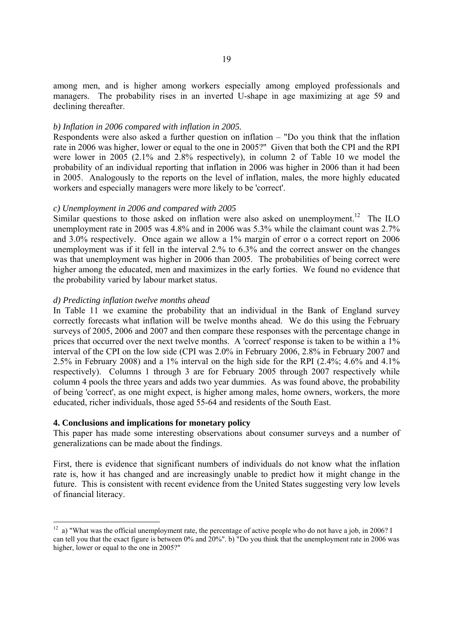among men, and is higher among workers especially among employed professionals and managers. The probability rises in an inverted U-shape in age maximizing at age 59 and declining thereafter.

#### *b) Inflation in 2006 compared with inflation in 2005.*

Respondents were also asked a further question on inflation – "Do you think that the inflation rate in 2006 was higher, lower or equal to the one in 2005?" Given that both the CPI and the RPI were lower in 2005 (2.1% and 2.8% respectively), in column 2 of Table 10 we model the probability of an individual reporting that inflation in 2006 was higher in 2006 than it had been in 2005. Analogously to the reports on the level of inflation, males, the more highly educated workers and especially managers were more likely to be 'correct'.

#### *c) Unemployment in 2006 and compared with 2005*

Similar questions to those asked on inflation were also asked on unemployment.<sup>12</sup> The ILO unemployment rate in 2005 was 4.8% and in 2006 was 5.3% while the claimant count was 2.7% and 3.0% respectively. Once again we allow a 1% margin of error o a correct report on 2006 unemployment was if it fell in the interval 2.% to 6.3% and the correct answer on the changes was that unemployment was higher in 2006 than 2005. The probabilities of being correct were higher among the educated, men and maximizes in the early forties. We found no evidence that the probability varied by labour market status.

#### *d) Predicting inflation twelve months ahead*

In Table 11 we examine the probability that an individual in the Bank of England survey correctly forecasts what inflation will be twelve months ahead. We do this using the February surveys of 2005, 2006 and 2007 and then compare these responses with the percentage change in prices that occurred over the next twelve months. A 'correct' response is taken to be within a 1% interval of the CPI on the low side (CPI was 2.0% in February 2006, 2.8% in February 2007 and 2.5% in February 2008) and a 1% interval on the high side for the RPI (2.4%; 4.6% and 4.1% respectively). Columns 1 through 3 are for February 2005 through 2007 respectively while column 4 pools the three years and adds two year dummies. As was found above, the probability of being 'correct', as one might expect, is higher among males, home owners, workers, the more educated, richer individuals, those aged 55-64 and residents of the South East.

#### **4. Conclusions and implications for monetary policy**

-

This paper has made some interesting observations about consumer surveys and a number of generalizations can be made about the findings.

First, there is evidence that significant numbers of individuals do not know what the inflation rate is, how it has changed and are increasingly unable to predict how it might change in the future. This is consistent with recent evidence from the United States suggesting very low levels of financial literacy.

 $12$  a) "What was the official unemployment rate, the percentage of active people who do not have a job, in 2006? I can tell you that the exact figure is between 0% and 20%". b) "Do you think that the unemployment rate in 2006 was higher, lower or equal to the one in 2005?"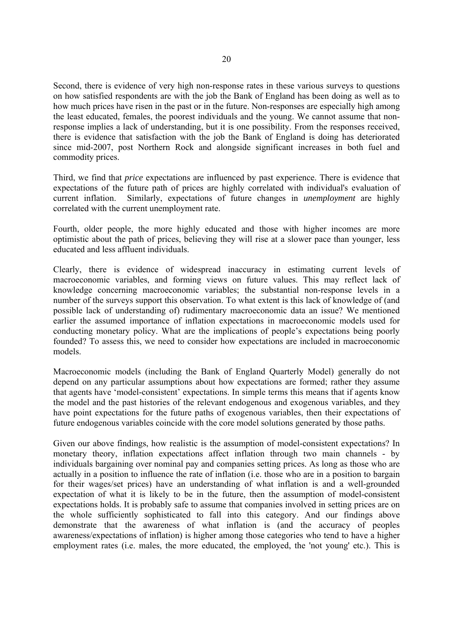Second, there is evidence of very high non-response rates in these various surveys to questions on how satisfied respondents are with the job the Bank of England has been doing as well as to how much prices have risen in the past or in the future. Non-responses are especially high among the least educated, females, the poorest individuals and the young. We cannot assume that nonresponse implies a lack of understanding, but it is one possibility. From the responses received, there is evidence that satisfaction with the job the Bank of England is doing has deteriorated since mid-2007, post Northern Rock and alongside significant increases in both fuel and commodity prices.

Third, we find that *price* expectations are influenced by past experience. There is evidence that expectations of the future path of prices are highly correlated with individual's evaluation of current inflation. Similarly, expectations of future changes in *unemployment* are highly correlated with the current unemployment rate.

Fourth, older people, the more highly educated and those with higher incomes are more optimistic about the path of prices, believing they will rise at a slower pace than younger, less educated and less affluent individuals.

Clearly, there is evidence of widespread inaccuracy in estimating current levels of macroeconomic variables, and forming views on future values. This may reflect lack of knowledge concerning macroeconomic variables; the substantial non-response levels in a number of the surveys support this observation. To what extent is this lack of knowledge of (and possible lack of understanding of) rudimentary macroeconomic data an issue? We mentioned earlier the assumed importance of inflation expectations in macroeconomic models used for conducting monetary policy. What are the implications of people's expectations being poorly founded? To assess this, we need to consider how expectations are included in macroeconomic models.

Macroeconomic models (including the Bank of England Quarterly Model) generally do not depend on any particular assumptions about how expectations are formed; rather they assume that agents have 'model-consistent' expectations. In simple terms this means that if agents know the model and the past histories of the relevant endogenous and exogenous variables, and they have point expectations for the future paths of exogenous variables, then their expectations of future endogenous variables coincide with the core model solutions generated by those paths.

Given our above findings, how realistic is the assumption of model-consistent expectations? In monetary theory, inflation expectations affect inflation through two main channels - by individuals bargaining over nominal pay and companies setting prices. As long as those who are actually in a position to influence the rate of inflation (i.e. those who are in a position to bargain for their wages/set prices) have an understanding of what inflation is and a well-grounded expectation of what it is likely to be in the future, then the assumption of model-consistent expectations holds. It is probably safe to assume that companies involved in setting prices are on the whole sufficiently sophisticated to fall into this category. And our findings above demonstrate that the awareness of what inflation is (and the accuracy of peoples awareness/expectations of inflation) is higher among those categories who tend to have a higher employment rates (i.e. males, the more educated, the employed, the 'not young' etc.). This is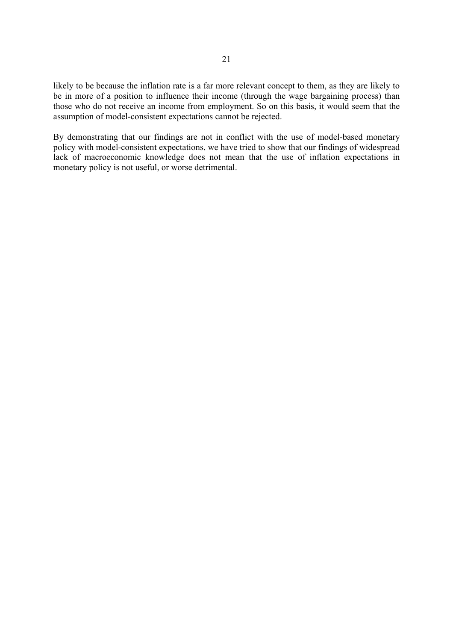likely to be because the inflation rate is a far more relevant concept to them, as they are likely to be in more of a position to influence their income (through the wage bargaining process) than those who do not receive an income from employment. So on this basis, it would seem that the assumption of model-consistent expectations cannot be rejected.

By demonstrating that our findings are not in conflict with the use of model-based monetary policy with model-consistent expectations, we have tried to show that our findings of widespread lack of macroeconomic knowledge does not mean that the use of inflation expectations in monetary policy is not useful, or worse detrimental.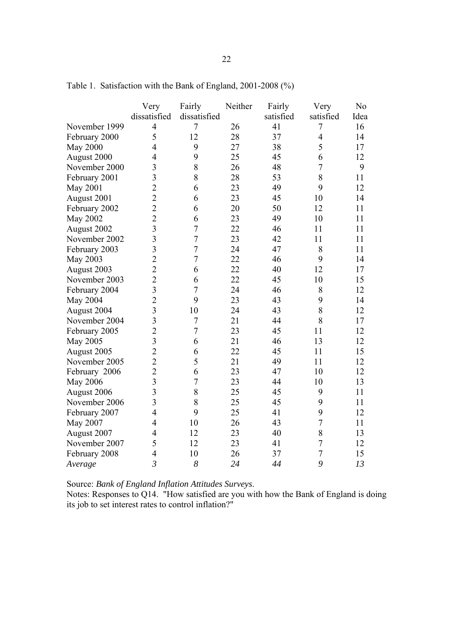|                 | Very           | Fairly         | Neither | Fairly    | Very             | N <sub>0</sub> |
|-----------------|----------------|----------------|---------|-----------|------------------|----------------|
|                 | dissatisfied   | dissatisfied   |         | satisfied | satisfied        | Idea           |
| November 1999   | $\overline{4}$ | $\overline{7}$ | 26      | 41        | 7                | 16             |
| February 2000   | 5              | 12             | 28      | 37        | $\overline{4}$   | 14             |
| <b>May 2000</b> | $\overline{4}$ | 9              | 27      | 38        | 5                | 17             |
| August 2000     | $\overline{4}$ | 9              | 25      | 45        | 6                | 12             |
| November 2000   | 3              | 8              | 26      | 48        | $\boldsymbol{7}$ | 9              |
| February 2001   | $\overline{3}$ | 8              | 28      | 53        | 8                | 11             |
| <b>May 2001</b> | $\overline{2}$ | 6              | 23      | 49        | 9                | 12             |
| August 2001     | $\overline{c}$ | 6              | 23      | 45        | 10               | 14             |
| February 2002   | $\overline{2}$ | 6              | 20      | 50        | 12               | 11             |
| May 2002        | $\overline{2}$ | 6              | 23      | 49        | 10               | 11             |
| August 2002     | $\overline{3}$ | $\overline{7}$ | 22      | 46        | 11               | 11             |
| November 2002   | $\overline{3}$ | $\overline{7}$ | 23      | 42        | 11               | 11             |
| February 2003   | $\overline{3}$ | $\overline{7}$ | 24      | 47        | 8                | 11             |
| May 2003        | $\overline{2}$ | $\overline{7}$ | 22      | 46        | 9                | 14             |
| August 2003     | $\overline{2}$ | 6              | 22      | 40        | 12               | 17             |
| November 2003   | $\overline{2}$ | 6              | 22      | 45        | 10               | 15             |
| February 2004   | $\overline{3}$ | $\overline{7}$ | 24      | 46        | 8                | 12             |
| <b>May 2004</b> | $\overline{2}$ | 9              | 23      | 43        | 9                | 14             |
| August 2004     | $\overline{3}$ | 10             | 24      | 43        | 8                | 12             |
| November 2004   | 3              | $\overline{7}$ | 21      | 44        | 8                | 17             |
| February 2005   | $\overline{2}$ | $\overline{7}$ | 23      | 45        | 11               | 12             |
| <b>May 2005</b> | $\overline{3}$ | 6              | 21      | 46        | 13               | 12             |
| August 2005     | $\overline{c}$ | 6              | 22      | 45        | 11               | 15             |
| November 2005   | $\overline{c}$ | 5              | 21      | 49        | 11               | 12             |
| February 2006   | $\overline{2}$ | 6              | 23      | 47        | 10               | 12             |
| <b>May 2006</b> | $\overline{3}$ | $\overline{7}$ | 23      | 44        | 10               | 13             |
| August 2006     | $\overline{3}$ | 8              | 25      | 45        | 9                | 11             |
| November 2006   | $\overline{3}$ | 8              | 25      | 45        | 9                | 11             |
| February 2007   | $\overline{4}$ | 9              | 25      | 41        | 9                | 12             |
| May 2007        | $\overline{4}$ | 10             | 26      | 43        | $\overline{7}$   | 11             |
| August 2007     | $\overline{4}$ | 12             | 23      | 40        | 8                | 13             |
| November 2007   | 5              | 12             | 23      | 41        | $\overline{7}$   | 12             |
| February 2008   | $\overline{4}$ | 10             | 26      | 37        | $\overline{7}$   | 15             |
| Average         | $\overline{3}$ | 8              | 24      | 44        | 9                | 13             |

Table 1. Satisfaction with the Bank of England, 2001-2008 (%)

Source: *Bank of England Inflation Attitudes Surveys*.

Notes: Responses to Q14. "How satisfied are you with how the Bank of England is doing its job to set interest rates to control inflation?"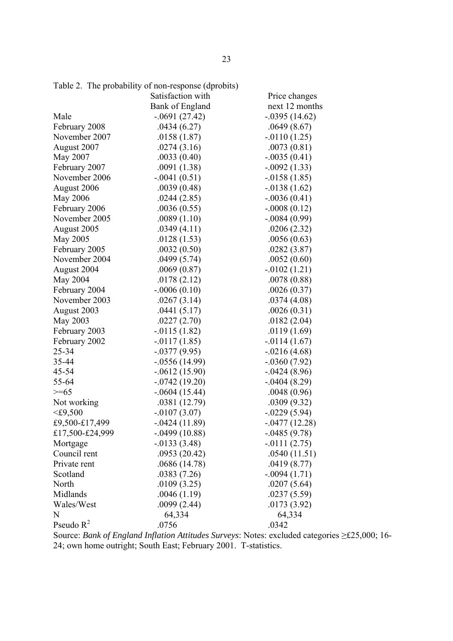|                 | Satisfaction with | Price changes   |
|-----------------|-------------------|-----------------|
|                 | Bank of England   | next 12 months  |
| Male            | $-.0691(27.42)$   | $-.0395(14.62)$ |
| February 2008   | .0434(6.27)       | .0649(8.67)     |
| November 2007   | .0158(1.87)       | $-.0110(1.25)$  |
| August 2007     | .0274(3.16)       | .0073(0.81)     |
| May 2007        | .0033(0.40)       | $-.0035(0.41)$  |
| February 2007   | .0091(1.38)       | $-.0092(1.33)$  |
| November 2006   | $-.0041(0.51)$    | $-.0158(1.85)$  |
| August 2006     | .0039(0.48)       | $-0.0138(1.62)$ |
| May 2006        | .0244(2.85)       | $-.0036(0.41)$  |
| February 2006   | .0036(0.55)       | $-.0008(0.12)$  |
| November 2005   | .0089(1.10)       | $-.0084(0.99)$  |
| August 2005     | .0349(4.11)       | .0206(2.32)     |
| May 2005        | .0128(1.53)       | .0056(0.63)     |
| February 2005   | .0032(0.50)       | .0282(3.87)     |
| November 2004   | .0499(5.74)       | .0052(0.60)     |
| August 2004     | .0069(0.87)       | $-.0102(1.21)$  |
| May 2004        | .0178(2.12)       | .0078(0.88)     |
| February 2004   | $-.0006(0.10)$    | .0026(0.37)     |
| November 2003   | .0267(3.14)       | .0374(4.08)     |
| August 2003     | .0441(5.17)       | .0026(0.31)     |
| May 2003        | .0227(2.70)       | .0182(2.04)     |
| February 2003   | $-0.0115(1.82)$   | .0119(1.69)     |
| February 2002   | $-0117(1.85)$     | $-0.0114(1.67)$ |
| 25-34           | $-0.0377(9.95)$   | $-.0216(4.68)$  |
| 35-44           | $-0.0556(14.99)$  | $-.0360(7.92)$  |
| 45-54           | $-.0612(15.90)$   | $-0.0424(8.96)$ |
| 55-64           | $-0.0742(19.20)$  | $-0.0404(8.29)$ |
| $>= 65$         | $-.0604(15.44)$   | .0048(0.96)     |
| Not working     | .0381(12.79)      | .0309(9.32)     |
| $<$ £9,500      | $-0.0107(3.07)$   | $-.0229(5.94)$  |
| £9,500-£17,499  | $-0.0424(11.89)$  | $-.0477(12.28)$ |
| £17,500-£24,999 | $-.0499(10.88)$   | $-.0485(9.78)$  |
| Mortgage        | $-0.0133(3.48)$   | $-0111(2.75)$   |
| Council rent    | .0953(20.42)      | .0540(11.51)    |
| Private rent    | .0686(14.78)      | .0419(8.77)     |
| Scotland        | .0383(7.26)       | $-.0094(1.71)$  |
| North           | .0109(3.25)       | .0207(5.64)     |
| Midlands        | .0046(1.19)       | .0237(5.59)     |
| Wales/West      | .0099(2.44)       | .0173(3.92)     |
| N               | 64,334            | 64,334          |
| Pseudo $R^2$    | .0756             | .0342           |

Table 2. The probability of non-response (dprobits)

Source: *Bank of England Inflation Attitudes Surveys*: Notes: excluded categories ≥£25,000; 16- 24; own home outright; South East; February 2001. T-statistics.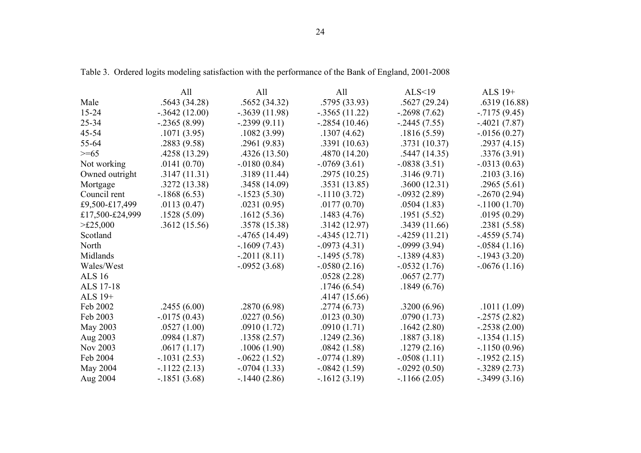|                 | All             | All              | All              | ALS<19          | ALS 19+         |
|-----------------|-----------------|------------------|------------------|-----------------|-----------------|
| Male            | .5643(34.28)    | .5652(34.32)     | .5795 (33.93)    | .5627(29.24)    | .6319(16.88)    |
| $15 - 24$       | $-.3642(12.00)$ | $-0.3639(11.98)$ | $-.3565(11.22)$  | $-2698(7.62)$   | $-0.7175(9.45)$ |
| 25-34           | $-0.2365(8.99)$ | $-2399(9.11)$    | $-0.2854(10.46)$ | $-2445(7.55)$   | $-.4021(7.87)$  |
| 45-54           | .1071(3.95)     | .1082(3.99)      | .1307(4.62)      | .1816(5.59)     | $-0.0156(0.27)$ |
| 55-64           | .2883(9.58)     | .2961(9.83)      | .3391(10.63)     | .3731 (10.37)   | .2937(4.15)     |
| $>= 65$         | .4258(13.29)    | .4326(13.50)     | .4870(14.20)     | .5447(14.35)    | .3376(3.91)     |
| Not working     | .0141(0.70)     | $-0180(0.84)$    | $-0.0769(3.61)$  | $-.0838(3.51)$  | $-.0313(0.63)$  |
| Owned outright  | .3147(11.31)    | .3189(11.44)     | .2975(10.25)     | .3146(9.71)     | .2103(3.16)     |
| Mortgage        | .3272(13.38)    | .3458(14.09)     | .3531(13.85)     | .3600(12.31)    | .2965(5.61)     |
| Council rent    | $-1868(6.53)$   | $-1523(5.30)$    | $-1110(3.72)$    | $-0.0932(2.89)$ | $-0.2670(2.94)$ |
| £9,500-£17,499  | .0113(0.47)     | .0231(0.95)      | .0177(0.70)      | .0504(1.83)     | $-.1100(1.70)$  |
| £17,500-£24,999 | .1528(5.09)     | .1612(5.36)      | .1483(4.76)      | .1951(5.52)     | .0195(0.29)     |
| $>\t\pm 25,000$ | .3612(15.56)    | .3578 (15.38)    | .3142(12.97)     | .3439(11.66)    | .2381(5.58)     |
| Scotland        |                 | $-4765(14.49)$   | $-4345(12.71)$   | $-4259(11.21)$  | $-4559(5.74)$   |
| North           |                 | $-1609(7.43)$    | $-.0973(4.31)$   | $-0.0999(3.94)$ | $-0.0584(1.16)$ |
| Midlands        |                 | $-.2011(8.11)$   | $-1495(5.78)$    | $-1389(4.83)$   | $-1943(3.20)$   |
| Wales/West      |                 | $-.0952(3.68)$   | $-.0580(2.16)$   | $-.0532(1.76)$  | $-0.0676(1.16)$ |
| <b>ALS 16</b>   |                 |                  | .0528(2.28)      | .0657(2.77)     |                 |
| ALS 17-18       |                 |                  | .1746(6.54)      | .1849(6.76)     |                 |
| ALS 19+         |                 |                  | .4147(15.66)     |                 |                 |
| Feb 2002        | .2455(6.00)     | .2870(6.98)      | .2774(6.73)      | .3200(6.96)     | .1011(1.09)     |
| Feb 2003        | $-0.0175(0.43)$ | .0227(0.56)      | .0123(0.30)      | .0790(1.73)     | $-0.2575(2.82)$ |
| May 2003        | .0527(1.00)     | .0910(1.72)      | .0910(1.71)      | .1642(2.80)     | $-0.2538(2.00)$ |
| Aug 2003        | .0984(1.87)     | .1358(2.57)      | .1249(2.36)      | .1887(3.18)     | $-1354(1.15)$   |
| Nov 2003        | .0617(1.17)     | .1006(1.90)      | .0842(1.58)      | .1279(2.16)     | $-.1150(0.96)$  |
| Feb 2004        | $-.1031(2.53)$  | $-.0622(1.52)$   | $-0.0774(1.89)$  | $-.0508(1.11)$  | $-1952(2.15)$   |
| May 2004        | $-1122(2.13)$   | $-.0704(1.33)$   | $-.0842(1.59)$   | $-0.0292(0.50)$ | $-0.3289(2.73)$ |
| Aug 2004        | $-.1851(3.68)$  | $-1440(2.86)$    | $-1612(3.19)$    | $-1166(2.05)$   | $-0.3499(3.16)$ |

Table 3. Ordered logits modeling satisfaction with the performance of the Bank of England, 2001-2008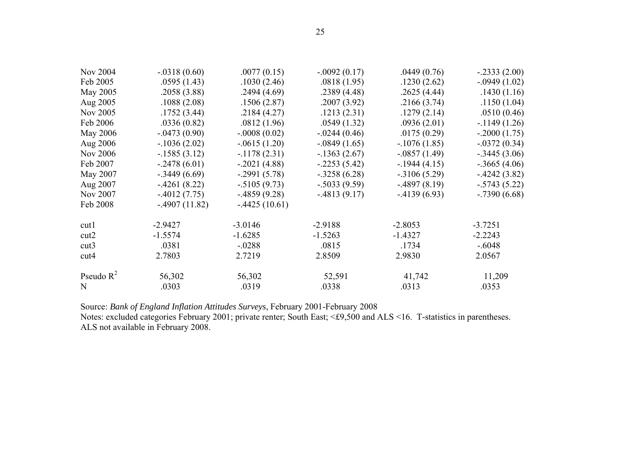| Nov 2004     | $-.0318(0.60)$  | .0077(0.15)     | $-0.092(0.17)$  | .0449(0.76)     | $-.2333(2.00)$  |
|--------------|-----------------|-----------------|-----------------|-----------------|-----------------|
| Feb 2005     | .0595(1.43)     | .1030(2.46)     | .0818(1.95)     | .1230(2.62)     | $-0.0949(1.02)$ |
| May 2005     | .2058(3.88)     | .2494(4.69)     | .2389(4.48)     | .2625(4.44)     | .1430(1.16)     |
| Aug 2005     | .1088(2.08)     | .1506(2.87)     | .2007(3.92)     | .2166(3.74)     | .1150(1.04)     |
| Nov 2005     | .1752(3.44)     | .2184(4.27)     | .1213(2.31)     | .1279(2.14)     | .0510(0.46)     |
| Feb 2006     | .0336(0.82)     | .0812(1.96)     | .0549(1.32)     | .0936(2.01)     | $-1149(1.26)$   |
| May 2006     | $-.0473(0.90)$  | $-.0008(0.02)$  | $-0.0244(0.46)$ | .0175(0.29)     | $-.2000(1.75)$  |
| Aug 2006     | $-1036(2.02)$   | $-.0615(1.20)$  | $-0.0849(1.65)$ | $-1076(1.85)$   | $-.0372(0.34)$  |
| Nov 2006     | $-1585(3.12)$   | $-1178(2.31)$   | $-1363(2.67)$   | $-.0857(1.49)$  | $-.3445(3.06)$  |
| Feb 2007     | $-0.2478(6.01)$ | $-.2021(4.88)$  | $-2253(5.42)$   | $-1944(4.15)$   | $-.3665(4.06)$  |
| May 2007     | $-0.3449(6.69)$ | $-.2991(5.78)$  | $-.3258(6.28)$  | $-0.3106(5.29)$ | $-4242(3.82)$   |
| Aug 2007     | $-.4261(8.22)$  | $-0.5105(9.73)$ | $-.5033(9.59)$  | $-4897(8.19)$   | $-.5743(5.22)$  |
| Nov 2007     | $-4012(7.75)$   | $-4859(9.28)$   | $-4813(9.17)$   | $-4139(6.93)$   | $-.7390(6.68)$  |
| Feb 2008     | $-4907(11.82)$  | $-4425(10.61)$  |                 |                 |                 |
| cut1         | $-2.9427$       | $-3.0146$       | $-2.9188$       | $-2.8053$       | $-3.7251$       |
| cut2         | $-1.5574$       | $-1.6285$       | $-1.5263$       | $-1.4327$       | $-2.2243$       |
| cut3         | .0381           | $-.0288$        | .0815           | .1734           | $-.6048$        |
| cut4         | 2.7803          | 2.7219          | 2.8509          | 2.9830          | 2.0567          |
| Pseudo $R^2$ | 56,302          | 56,302          | 52,591          | 41,742          | 11,209          |
| N            | .0303           | .0319           | .0338           | .0313           | .0353           |
|              |                 |                 |                 |                 |                 |

Source: *Bank of England Inflation Attitudes Surveys*, February 2001-February 2008

Notes: excluded categories February 2001; private renter; South East; <£9,500 and ALS <16. T-statistics in parentheses. ALS not available in February 2008.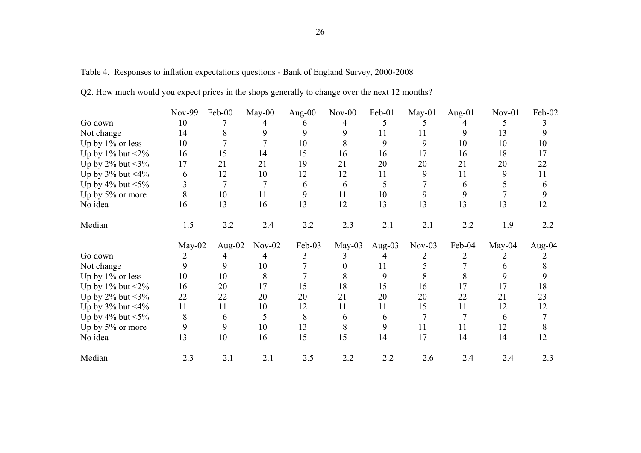| Table 4. Responses to inflation expectations questions - Bank of England Survey, 2000-2008 |  |  |  |  |
|--------------------------------------------------------------------------------------------|--|--|--|--|
|                                                                                            |  |  |  |  |

|  | Q2. How much would you expect prices in the shops generally to change over the next 12 months? |  |  |  |  |  |  |  |
|--|------------------------------------------------------------------------------------------------|--|--|--|--|--|--|--|
|  |                                                                                                |  |  |  |  |  |  |  |

|                            | Nov-99   | Feb-00 | May-00   | Aug-00 | $Nov-00$ | Feb-01 | $May-01$ | Aug- $01$ | $Nov-01$ | Feb-02    |
|----------------------------|----------|--------|----------|--------|----------|--------|----------|-----------|----------|-----------|
| Go down                    | 10       |        |          |        |          |        |          |           |          |           |
| Not change                 | 14       |        | 9        | 9      | 9        | 11     | 11       | 9         | 13       |           |
| Up by $1\%$ or less        | 10       |        |          | 10     | 8        | 9      | 9        | 10        | 10       | 10        |
| Up by $1\%$ but $\leq 2\%$ | 16       | 15     | 14       | 15     | 16       | 16     | 17       | 16        | 18       | 17        |
| Up by $2\%$ but $\leq 3\%$ | 17       | 21     | 21       | 19     | 21       | 20     | 20       | 21        | 20       | 22        |
| Up by $3\%$ but <4%        | 6        | 12     | 10       | 12     | 12       | 11     | 9        | 11        | 9        | 11        |
| Up by $4\%$ but $\leq 5\%$ |          | 7      |          | 6      | 6        |        |          | 6         |          | 6         |
| Up by 5% or more           | 8        | 10     | 11       | 9      | 11       | 10     | 9        | 9         |          | 9         |
| No idea                    | 16       | 13     | 16       | 13     | 12       | 13     | 13       | 13        | 13       | 12        |
| Median                     | 1.5      | 2.2    | 2.4      | 2.2    | 2.3      | 2.1    | 2.1      | 2.2       | 1.9      | 2.2       |
|                            | $May-02$ | Aug-02 | $Nov-02$ | Feb-03 | $May-03$ | Aug-03 | $Nov-03$ | Feb-04    | $May-04$ | Aug- $04$ |
| Go down                    |          |        |          |        |          |        |          |           |          |           |
| Not change                 | 9        | 9      | 10       |        |          | 11     |          |           |          |           |
| Up by 1% or less           | 10       | 10     | 8        |        |          | 9      |          |           |          |           |
| Up by $1\%$ but $\leq 2\%$ | 16       | 20     | 17       | 15     | 18       | 15     | 16       | 17        | 17       | 18        |
| Up by $2\%$ but $\leq 3\%$ | 22       | 22     | 20       | 20     | 21       | 20     | 20       | 22        | 21       | 23        |
| Up by $3\%$ but <4%        | 11       | 11     | 10       | 12     | 11       | 11     | 15       | 11        | 12       | 12        |
| Up by $4\%$ but $\leq 5\%$ | 8        | 6      | 5        | 8      | 6        | 6      |          |           | 6        |           |
| Up by 5% or more           | 9        | 9      | 10       | 13     | 8        | 9      | 11       | 11        | 12       | 8         |
| No idea                    | 13       | 10     | 16       | 15     | 15       | 14     | 17       | 14        | 14       | 12        |
| Median                     | 2.3      | 2.1    | 2.1      | 2.5    | 2.2      | 2.2    | 2.6      | 2.4       | 2.4      | 2.3       |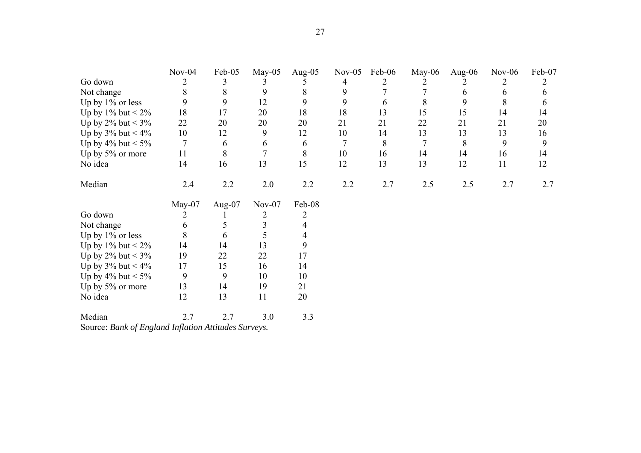|                            | $Nov-04$       | Feb-05 | $May-05$ | Aug- $05$ | $Nov-05$ | Feb-06 | $May-06$ | Aug-06 | $Nov-06$ | Feb-07 |
|----------------------------|----------------|--------|----------|-----------|----------|--------|----------|--------|----------|--------|
| Go down                    | $\overline{2}$ | 3      |          |           | 4        |        |          |        | 2        | 2      |
| Not change                 | 8              | 8      | 9        | 8         | 9        |        |          | 6      | 6        | 6      |
| Up by 1% or less           | 9              | 9      | 12       | 9         | 9        | 6      | 8        | 9      | 8        | 6      |
| Up by $1\%$ but $\leq 2\%$ | 18             | 17     | 20       | 18        | 18       | 13     | 15       | 15     | 14       | 14     |
| Up by 2% but < $3\%$       | 22             | 20     | 20       | 20        | 21       | 21     | 22       | 21     | 21       | 20     |
| Up by $3\%$ but < $4\%$    | 10             | 12     | 9        | 12        | 10       | 14     | 13       | 13     | 13       | 16     |
| Up by 4% but $< 5\%$       | 7              | 6      | 6        | 6         | 7        | 8      | 7        | 8      | 9        | 9      |
| Up by 5% or more           | 11             | 8      | 7        | 8         | 10       | 16     | 14       | 14     | 16       | 14     |
| No idea                    | 14             | 16     | 13       | 15        | 12       | 13     | 13       | 12     | 11       | 12     |
| Median                     | 2.4            | 2.2    | 2.0      | 2.2       | 2.2      | 2.7    | 2.5      | 2.5    | 2.7      | 2.7    |
|                            | May-07         | Aug-07 | $Nov-07$ | Feb-08    |          |        |          |        |          |        |
|                            |                |        |          |           |          |        |          |        |          |        |
| Go down                    | 2              |        | 2        |           |          |        |          |        |          |        |
| Not change                 | 6              |        | 3        |           |          |        |          |        |          |        |
| Up by $1\%$ or less        | 8              | 6      | 5        |           |          |        |          |        |          |        |
| Up by 1% but $\leq$ 2%     | 14             | 14     | 13       | 9         |          |        |          |        |          |        |
| Up by $2\%$ but < $3\%$    | 19             | 22     | 22       | 17        |          |        |          |        |          |        |
| Up by $3\%$ but $< 4\%$    | 17             | 15     | 16       | 14        |          |        |          |        |          |        |
| Up by $4\%$ but $< 5\%$    | 9              | 9      | 10       | 10        |          |        |          |        |          |        |
| Up by 5% or more           | 13             | 14     | 19       | 21        |          |        |          |        |          |        |
| No idea                    | 12             | 13     | 11       | 20        |          |        |          |        |          |        |

Source: *Bank of England Inflation Attitudes Surveys.*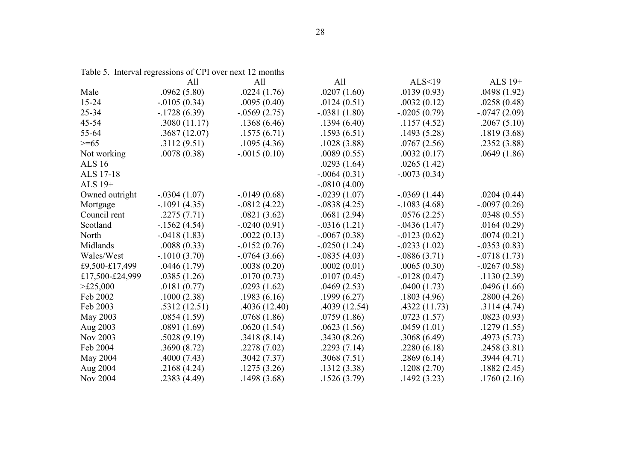Table 5. Interval regressions of CPI over next 12 months

|                    | All             | All             | All             | ALS<19          | ALS $19+$       |
|--------------------|-----------------|-----------------|-----------------|-----------------|-----------------|
| Male               | .0962(5.80)     | .0224(1.76)     | .0207(1.60)     | .0139(0.93)     | .0498(1.92)     |
| 15-24              | $-0.0105(0.34)$ | .0095(0.40)     | .0124(0.51)     | .0032(0.12)     | .0258(0.48)     |
| 25-34              | $-.1728(6.39)$  | $-0.0569(2.75)$ | $-.0381(1.80)$  | $-.0205(0.79)$  | $-0.0747(2.09)$ |
| 45-54              | .3080(11.17)    | .1368(6.46)     | .1394(6.40)     | .1157(4.52)     | .2067(5.10)     |
| 55-64              | .3687(12.07)    | .1575(6.71)     | .1593(6.51)     | .1493(5.28)     | .1819(3.68)     |
| $>= 65$            | .3112(9.51)     | .1095(4.36)     | .1028(3.88)     | .0767(2.56)     | .2352(3.88)     |
| Not working        | .0078(0.38)     | $-.0015(0.10)$  | .0089(0.55)     | .0032(0.17)     | .0649(1.86)     |
| <b>ALS 16</b>      |                 |                 | .0293(1.64)     | .0265(1.42)     |                 |
| ALS 17-18          |                 |                 | $-.0064(0.31)$  | $-.0073(0.34)$  |                 |
| ALS 19+            |                 |                 | $-.0810(4.00)$  |                 |                 |
| Owned outright     | $-.0304(1.07)$  | $-0.0149(0.68)$ | $-0.0239(1.07)$ | $-0.0369(1.44)$ | .0204(0.44)     |
| Mortgage           | $-.1091(4.35)$  | $-0812(4.22)$   | $-0.0838(4.25)$ | $-.1083(4.68)$  | $-.0097(0.26)$  |
| Council rent       | .2275(7.71)     | .0821(3.62)     | .0681(2.94)     | .0576(2.25)     | .0348(0.55)     |
| Scotland           | $-1562(4.54)$   | $-.0240(0.91)$  | $-0.0316(1.21)$ | $-0.0436(1.47)$ | .0164(0.29)     |
| North              | $-.0418(1.83)$  | .0022(0.13)     | $-.0067(0.38)$  | $-0.0123(0.62)$ | .0074(0.21)     |
| Midlands           | .0088(0.33)     | $-0.0152(0.76)$ | $-0.0250(1.24)$ | $-0.0233(1.02)$ | $-.0353(0.83)$  |
| Wales/West         | $-1010(3.70)$   | $-0.0764(3.66)$ | $-.0835(4.03)$  | $-0886(3.71)$   | $-.0718(1.73)$  |
| £9,500-£17,499     | .0446(1.79)     | .0038(0.20)     | .0002(0.01)     | .0065(0.30)     | $-.0267(0.58)$  |
| £17,500-£24,999    | .0385(1.26)     | .0170(0.73)     | .0107(0.45)     | $-0128(0.47)$   | .1130(2.39)     |
| $>\t\pounds25,000$ | .0181(0.77)     | .0293(1.62)     | .0469(2.53)     | .0400(1.73)     | .0496(1.66)     |
| Feb 2002           | .1000(2.38)     | .1983(6.16)     | .1999(6.27)     | .1803(4.96)     | .2800(4.26)     |
| Feb 2003           | .5312(12.51)    | .4036(12.40)    | .4039 (12.54)   | .4322(11.73)    | .3114(4.74)     |
| May 2003           | .0854(1.59)     | .0768(1.86)     | .0759(1.86)     | .0723(1.57)     | .0823(0.93)     |
| Aug 2003           | .0891(1.69)     | .0620(1.54)     | .0623(1.56)     | .0459(1.01)     | .1279(1.55)     |
| Nov 2003           | .5028(9.19)     | .3418(8.14)     | .3430(8.26)     | .3068(6.49)     | .4973(5.73)     |
| Feb 2004           | .3690(8.72)     | .2278(7.02)     | .2293(7.14)     | .2280(6.18)     | .2458(3.81)     |
| May 2004           | .4000(7.43)     | .3042(7.37)     | .3068(7.51)     | .2869(6.14)     | .3944(4.71)     |
| Aug 2004           | .2168(4.24)     | .1275(3.26)     | .1312(3.38)     | .1208(2.70)     | .1882(2.45)     |
| Nov 2004           | .2383(4.49)     | .1498(3.68)     | .1526(3.79)     | .1492(3.23)     | .1760(2.16)     |
|                    |                 |                 |                 |                 |                 |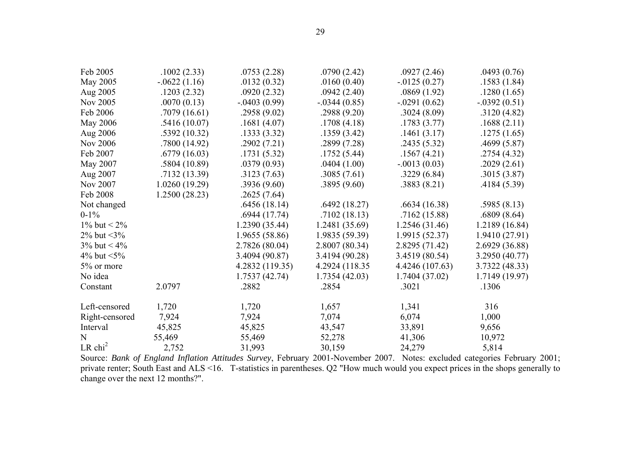| Feb 2005              | .1002(2.33)   | .0753(2.28)     | .0790(2.42)     | .0927(2.46)     | .0493(0.76)    |
|-----------------------|---------------|-----------------|-----------------|-----------------|----------------|
| May 2005              | $-0622(1.16)$ | .0132(0.32)     | .0160(0.40)     | $-0.0125(0.27)$ | .1583(1.84)    |
| Aug 2005              | .1203(2.32)   | .0920(2.32)     | .0942(2.40)     | .0869(1.92)     | .1280(1.65)    |
| Nov 2005              | .0070(0.13)   | $-0.0403(0.99)$ | $-0.0344(0.85)$ | $-.0291(0.62)$  | $-.0392(0.51)$ |
| Feb 2006              | .7079 (16.61) | .2958(9.02)     | .2988(9.20)     | .3024(8.09)     | .3120(4.82)    |
| May 2006              | .5416(10.07)  | .1681(4.07)     | .1708(4.18)     | .1783(3.77)     | .1688(2.11)    |
| Aug 2006              | .5392(10.32)  | .1333(3.32)     | .1359(3.42)     | .1461(3.17)     | .1275(1.65)    |
| Nov 2006              | .7800 (14.92) | .2902(7.21)     | .2899 (7.28)    | .2435(5.32)     | .4699(5.87)    |
| Feb 2007              | .6779(16.03)  | .1731(5.32)     | .1752(5.44)     | .1567(4.21)     | .2754(4.32)    |
| May 2007              | .5804(10.89)  | .0379(0.93)     | .0404(1.00)     | $-.0013(0.03)$  | .2029(2.61)    |
| Aug 2007              | .7132(13.39)  | .3123(7.63)     | .3085(7.61)     | .3229(6.84)     | .3015(3.87)    |
| Nov 2007              | 1.0260(19.29) | .3936(9.60)     | .3895(9.60)     | .3883(8.21)     | .4184(5.39)    |
| Feb 2008              | 1.2500(28.23) | .2625(7.64)     |                 |                 |                |
| Not changed           |               | .6456(18.14)    | .6492(18.27)    | .6634(16.38)    | .5985(8.13)    |
| $0-1%$                |               | .6944(17.74)    | .7102(18.13)    | .7162(15.88)    | .6809(8.64)    |
| 1% but $< 2\%$        |               | 1.2390 (35.44)  | 1.2481 (35.69)  | 1.2546 (31.46)  | 1.2189 (16.84) |
| 2% but $\leq 3\%$     |               | 1.9655 (58.86)  | 1.9835 (59.39)  | 1.9915 (52.37)  | 1.9410 (27.91) |
| $3\%$ but < $4\%$     |               | 2.7826 (80.04)  | 2.8007 (80.34)  | 2.8295 (71.42)  | 2.6929 (36.88) |
| 4% but $\leq 5\%$     |               | 3.4094 (90.87)  | 3.4194 (90.28)  | 3.4519 (80.54)  | 3.2950 (40.77) |
| 5% or more            |               | 4.2832 (119.35) | 4.2924 (118.35) | 4.4246 (107.63) | 3.7322 (48.33) |
| No idea               |               | 1.7537(42.74)   | 1.7354(42.03)   | 1.7404 (37.02)  | 1.7149 (19.97) |
| Constant              | 2.0797        | .2882           | .2854           | .3021           | .1306          |
| Left-censored         | 1,720         | 1,720           | 1,657           | 1,341           | 316            |
| Right-censored        | 7,924         | 7,924           | 7,074           | 6,074           | 1,000          |
| Interval              | 45,825        | 45,825          | 43,547          | 33,891          | 9,656          |
| N                     | 55,469        | 55,469          | 52,278          | 41,306          | 10,972         |
| $LR$ chi <sup>2</sup> | 2,752         | 31,993          | 30,159          | 24,279          | 5,814          |

Source: *Bank of England Inflation Attitudes Survey*, February 2001-November 2007. Notes: excluded categories February 2001; private renter; South East and ALS <16. T-statistics in parentheses. Q2 "How much would you expect prices in the shops generally to change over the next 12 months?".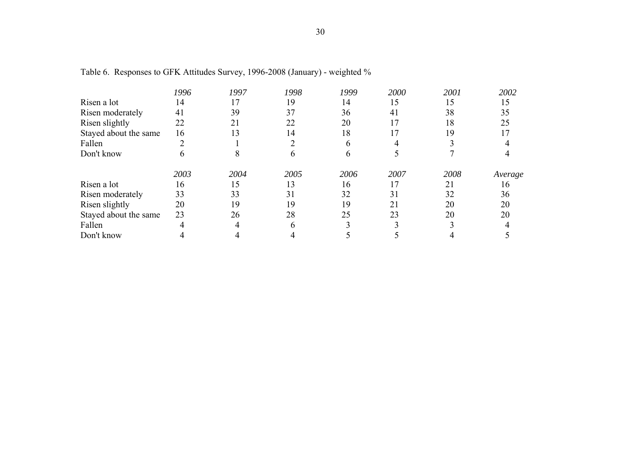|                       | 1996 | 1997 | 1998 | 1999 | 2000 | 2001 | 2002    |
|-----------------------|------|------|------|------|------|------|---------|
| Risen a lot           | 14   | 17   | 19   | 14   | 15   | 15   | 15      |
| Risen moderately      | 41   | 39   | 37   | 36   | 41   | 38   | 35      |
| Risen slightly        | 22   | 21   | 22   | 20   |      | 18   | 25      |
| Stayed about the same | 16   | 13   | 14   | 18   |      | 19   |         |
| Fallen                |      |      |      | h    |      |      |         |
| Don't know            | h    |      |      | h    |      |      |         |
|                       | 2003 | 2004 | 2005 | 2006 | 2007 | 2008 | Average |
| Risen a lot           | 16   | 15   | 13   | 16   |      | 21   | 16      |
| Risen moderately      | 33   | 33   | 31   | 32   | 31   | 32   | 36      |
| Risen slightly        | 20   | 19   | 19   | 19   | 21   | 20   | 20      |
| Stayed about the same | 23   | 26   | 28   | 25   | 23   | 20   | 20      |
| Fallen                |      |      |      |      |      |      |         |
| Don't know            |      |      |      |      |      |      |         |

Table 6. Responses to GFK Attitudes Survey, 1996-2008 (January) - weighted %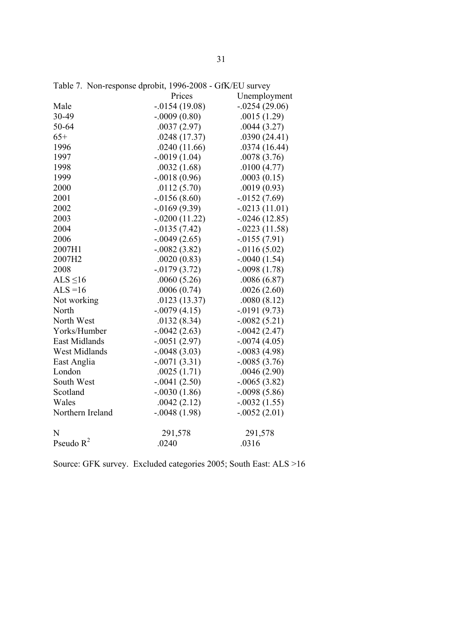|                      | Prices           | Unemployment     |
|----------------------|------------------|------------------|
| Male                 | $-0.0154(19.08)$ | $-0.0254(29.06)$ |
| 30-49                | $-.0009(0.80)$   | .0015(1.29)      |
| 50-64                | .0037(2.97)      | .0044(3.27)      |
| $65+$                | .0248(17.37)     | .0390(24.41)     |
| 1996                 | .0240(11.66)     | .0374(16.44)     |
| 1997                 | $-.0019(1.04)$   | .0078(3.76)      |
| 1998                 | .0032(1.68)      | .0100(4.77)      |
| 1999                 | $-.0018(0.96)$   | .0003(0.15)      |
| 2000                 | .0112(5.70)      | .0019(0.93)      |
| 2001                 | $-0.0156(8.60)$  | $-0.0152(7.69)$  |
| 2002                 | $-0.0169(9.39)$  | $-.0213(11.01)$  |
| 2003                 | $-.0200(11.22)$  | $-.0246(12.85)$  |
| 2004                 | $-0.0135(7.42)$  | $-.0223(11.58)$  |
| 2006                 | $-0.0049(2.65)$  | $-0.0155(7.91)$  |
| 2007H1               | $-.0082(3.82)$   | $-0.0116(5.02)$  |
| 2007H2               | .0020(0.83)      | $-.0040(1.54)$   |
| 2008                 | $-0179(3.72)$    | $-.0098(1.78)$   |
| ALS $\leq$ 16        | .0060(5.26)      | .0086(6.87)      |
| $ALS = 16$           | .0006(0.74)      | .0026(2.60)      |
| Not working          | .0123(13.37)     | .0080(8.12)      |
| North                | $-0.0079(4.15)$  | $-0191(9.73)$    |
| North West           | .0132(8.34)      | $-.0082(5.21)$   |
| Yorks/Humber         | $-0.0042(2.63)$  | $-0.0042(2.47)$  |
| <b>East Midlands</b> | $-.0051(2.97)$   | $-.0074(4.05)$   |
| West Midlands        | $-.0048(3.03)$   | $-.0083(4.98)$   |
| East Anglia          | $-.0071(3.31)$   | $-.0085(3.76)$   |
| London               | .0025(1.71)      | .0046(2.90)      |
| South West           | $-.0041(2.50)$   | $-.0065(3.82)$   |
| Scotland             | $-.0030(1.86)$   | $-.0098(5.86)$   |
| Wales                | .0042(2.12)      | $-.0032(1.55)$   |
| Northern Ireland     | $-.0048(1.98)$   | $-.0052(2.01)$   |
| N                    | 291,578          | 291,578          |
| Pseudo $R^2$         | .0240            | .0316            |

Table 7. Non-response dprobit, 1996-2008 - GfK/EU survey

Source: GFK survey. Excluded categories 2005; South East: ALS >16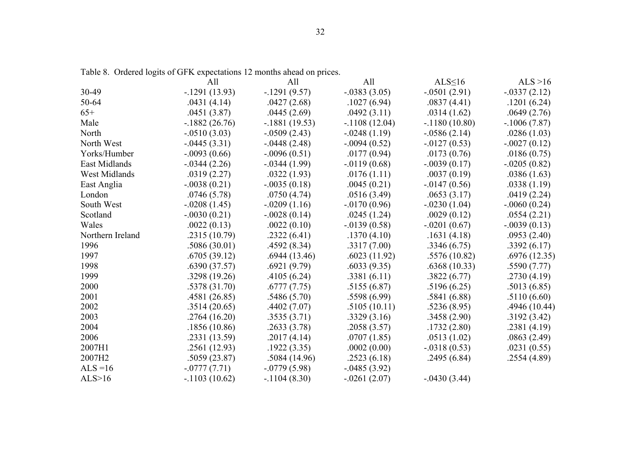|                  | All             | All             | All             | ALS $\leq$ 16   | ALS $>16$      |
|------------------|-----------------|-----------------|-----------------|-----------------|----------------|
| 30-49            | $-1291(13.93)$  | $-1291(9.57)$   | $-.0383(3.05)$  | $-.0501(2.91)$  | $-.0337(2.12)$ |
| 50-64            | .0431(4.14)     | .0427(2.68)     | .1027(6.94)     | .0837(4.41)     | .1201(6.24)    |
| $65+$            | .0451(3.87)     | .0445(2.69)     | .0492(3.11)     | .0314(1.62)     | .0649(2.76)    |
| Male             | $-1882(26.76)$  | $-.1881(19.53)$ | $-1108(12.04)$  | $-1180(10.80)$  | $-1006(7.87)$  |
| North            | $-.0510(3.03)$  | $-0.0509(2.43)$ | $-.0248(1.19)$  | $-.0586(2.14)$  | .0286(1.03)    |
| North West       | $-0.0445(3.31)$ | $-0.0448(2.48)$ | $-.0094(0.52)$  | $-0.0127(0.53)$ | $-.0027(0.12)$ |
| Yorks/Humber     | $-.0093(0.66)$  | $-0.096(0.51)$  | .0177(0.94)     | .0173(0.76)     | .0186(0.75)    |
| East Midlands    | $-0.0344(2.26)$ | $-0.0344(1.99)$ | $-0119(0.68)$   | $-0.039(0.17)$  | $-.0205(0.82)$ |
| West Midlands    | .0319(2.27)     | .0322(1.93)     | .0176(1.11)     | .0037(0.19)     | .0386(1.63)    |
| East Anglia      | $-.0038(0.21)$  | $-.0035(0.18)$  | .0045(0.21)     | $-0.0147(0.56)$ | .0338(1.19)    |
| London           | .0746(5.78)     | .0750(4.74)     | .0516(3.49)     | .0653(3.17)     | .0419(2.24)    |
| South West       | $-.0208(1.45)$  | $-.0209(1.16)$  | $-0.0170(0.96)$ | $-.0230(1.04)$  | $-.0060(0.24)$ |
| Scotland         | $-.0030(0.21)$  | $-.0028(0.14)$  | .0245(1.24)     | .0029(0.12)     | .0554(2.21)    |
| Wales            | .0022(0.13)     | .0022(0.10)     | $-0.0139(0.58)$ | $-.0201(0.67)$  | $-.0039(0.13)$ |
| Northern Ireland | .2315(10.79)    | .2322(6.41)     | .1370(4.10)     | .1631(4.18)     | .0953(2.40)    |
| 1996             | .5086(30.01)    | .4592(8.34)     | .3317(7.00)     | .3346(6.75)     | .3392(6.17)    |
| 1997             | .6705(39.12)    | .6944(13.46)    | .6023(11.92)    | .5576(10.82)    | .6976(12.35)   |
| 1998             | .6390(37.57)    | .6921(9.79)     | .6033(9.35)     | .6368(10.33)    | .5590(7.77)    |
| 1999             | .3298(19.26)    | .4105(6.24)     | .3381(6.11)     | .3822(6.77)     | .2730(4.19)    |
| 2000             | .5378(31.70)    | .6777(7.75)     | .5155(6.87)     | .5196(6.25)     | .5013(6.85)    |
| 2001             | .4581(26.85)    | .5486(5.70)     | .5598(6.99)     | .5841(6.88)     | .5110(6.60)    |
| 2002             | .3514(20.65)    | .4402(7.07)     | .5105(10.11)    | .5236(8.95)     | .4946(10.44)   |
| 2003             | .2764(16.20)    | .3535(3.71)     | .3329(3.16)     | .3458(2.90)     | .3192(3.42)    |
| 2004             | .1856(10.86)    | .2633(3.78)     | .2058(3.57)     | .1732(2.80)     | .2381(4.19)    |
| 2006             | .2331(13.59)    | .2017(4.14)     | .0707(1.85)     | .0513(1.02)     | .0863(2.49)    |
| 2007H1           | .2561(12.93)    | .1922(3.35)     | .0002(0.00)     | $-.0318(0.53)$  | .0231(0.55)    |
| 2007H2           | .5059(23.87)    | .5084(14.96)    | .2523(6.18)     | .2495(6.84)     | .2554(4.89)    |
| $ALS = 16$       | $-0777(7.71)$   | $-0779(5.98)$   | $-0.0485(3.92)$ |                 |                |
| ALS>16           | $-1103(10.62)$  | $-1104(8.30)$   | $-.0261(2.07)$  | $-.0430(3.44)$  |                |

Table 8. Ordered logits of GFK expectations 12 months ahead on prices.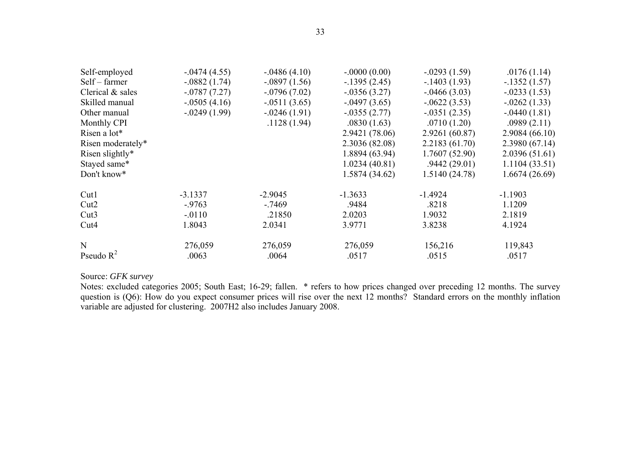| Self-employed      | $-0.0474(4.55)$ | $-.0486(4.10)$  | $-.0000(0.00)$  | $-.0293(1.59)$  | .0176(1.14)    |
|--------------------|-----------------|-----------------|-----------------|-----------------|----------------|
| Self – farmer      | $-.0882(1.74)$  | $-.0897(1.56)$  | $-1395(2.45)$   | $-1403(1.93)$   | $-1352(1.57)$  |
| Clerical $&$ sales | $-0.0787(7.27)$ | $-0.0796(7.02)$ | $-0.0356(3.27)$ | $-0.0466(3.03)$ | $-.0233(1.53)$ |
| Skilled manual     | $-.0505(4.16)$  | $-.0511(3.65)$  | $-0.0497(3.65)$ | $-0622(3.53)$   | $-.0262(1.33)$ |
| Other manual       | $-0.0249(1.99)$ | $-0.0246(1.91)$ | $-0.0355(2.77)$ | $-.0351(2.35)$  | $-.0440(1.81)$ |
| Monthly CPI        |                 | .1128(1.94)     | .0830(1.63)     | .0710(1.20)     | .0989(2.11)    |
| Risen a lot*       |                 |                 | 2.9421 (78.06)  | 2.9261 (60.87)  | 2.9084(66.10)  |
| Risen moderately*  |                 |                 | 2.3036 (82.08)  | 2.2183(61.70)   | 2.3980(67.14)  |
| Risen slightly*    |                 |                 | 1.8894 (63.94)  | 1.7607(52.90)   | 2.0396(51.61)  |
| Stayed same*       |                 |                 | 1.0234(40.81)   | .9442(29.01)    | 1.1104(33.51)  |
| Don't know*        |                 |                 | 1.5874 (34.62)  | 1.5140 (24.78)  | 1.6674(26.69)  |
| Cut1               | $-3.1337$       | $-2.9045$       | $-1.3633$       | $-1.4924$       | $-1.1903$      |
| Cut <sub>2</sub>   | $-9763$         | $-7469$         | .9484           | .8218           | 1.1209         |
| Cut <sub>3</sub>   | $-0110$         | .21850          | 2.0203          | 1.9032          | 2.1819         |
| Cut <sub>4</sub>   | 1.8043          | 2.0341          | 3.9771          | 3.8238          | 4.1924         |
| N                  | 276,059         | 276,059         | 276,059         | 156,216         | 119,843        |
| Pseudo $R^2$       | .0063           | .0064           | .0517           | .0515           | .0517          |

Source: *GFK survey* 

Notes: excluded categories 2005; South East; 16-29; fallen. \* refers to how prices changed over preceding 12 months. The survey question is (Q6): How do you expect consumer prices will rise over the next 12 months? Standard errors on the monthly inflation variable are adjusted for clustering. 2007H2 also includes January 2008.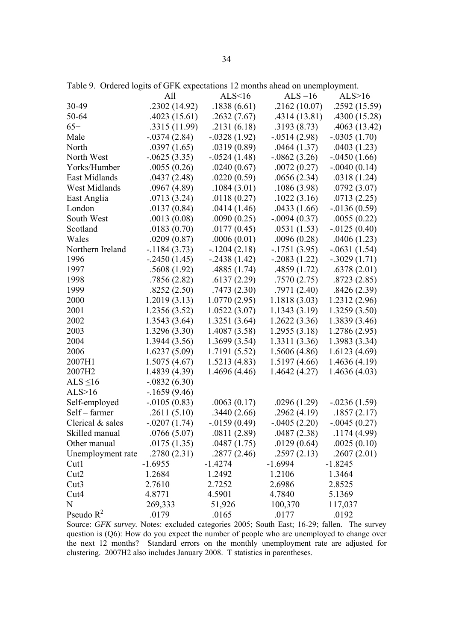|                      | All             | ALS<16          | $ALS = 16$      | ALS>16          |
|----------------------|-----------------|-----------------|-----------------|-----------------|
| 30-49                | .2302(14.92)    | .1838(6.61)     | .2162(10.07)    | .2592 (15.59)   |
| 50-64                | .4023(15.61)    | .2632(7.67)     | .4314(13.81)    | .4300 (15.28)   |
| $65+$                | .3315 (11.99)   | .2131(6.18)     | .3193(8.73)     | .4063(13.42)    |
| Male                 | $-0.0374(2.84)$ | $-0.0328(1.92)$ | $-0.0514(2.98)$ | $-.0305(1.70)$  |
| North                | .0397(1.65)     | .0319(0.89)     | .0464(1.37)     | .0403(1.23)     |
| North West           | $-0625(3.35)$   | $-.0524(1.48)$  | $-0.0862(3.26)$ | $-.0450(1.66)$  |
| Yorks/Humber         | .0055(0.26)     | .0240(0.67)     | .0072(0.27)     | $-.0040(0.14)$  |
| <b>East Midlands</b> | .0437(2.48)     | .0220(0.59)     | .0656(2.34)     | .0318(1.24)     |
| West Midlands        | .0967(4.89)     | .1084(3.01)     | .1086(3.98)     | .0792(3.07)     |
| East Anglia          | .0713(3.24)     | .0118(0.27)     | .1022(3.16)     | .0713(2.25)     |
| London               | .0137(0.84)     | .0414(1.46)     | .0433(1.66)     | $-0.0136(0.59)$ |
| South West           | .0013(0.08)     | .0090(0.25)     | $-.0094(0.37)$  | .0055(0.22)     |
| Scotland             | .0183(0.70)     | .0177(0.45)     | .0531(1.53)     | $-0.0125(0.40)$ |
| Wales                | .0209(0.87)     | .0006(0.01)     | .0096(0.28)     | .0406(1.23)     |
| Northern Ireland     | $-1184(3.73)$   | $-1204(2.18)$   | $-1751(3.95)$   | $-.0631(1.54)$  |
| 1996                 | $-2450(1.45)$   | $-.2438(1.42)$  | $-0.2083(1.22)$ | $-.3029(1.71)$  |
| 1997                 | .5608(1.92)     | .4885(1.74)     | .4859(1.72)     | .6378(2.01)     |
| 1998                 | .7856(2.82)     | .6137(2.29)     | .7570(2.75)     | .8723(2.85)     |
| 1999                 | .8252(2.50)     | .7473(2.30)     | .7971(2.40)     | .8426(2.39)     |
| 2000                 | 1.2019(3.13)    | 1.0770(2.95)    | 1.1818(3.03)    | 1.2312 (2.96)   |
| 2001                 | 1.2356(3.52)    | 1.0522(3.07)    | 1.1343(3.19)    | 1.3259(3.50)    |
| 2002                 | 1.3543(3.64)    | 1.3251 (3.64)   | 1.2622(3.36)    | 1.3839 (3.46)   |
| 2003                 | 1.3296(3.30)    | 1.4087 (3.58)   | 1.2955(3.18)    | 1.2786 (2.95)   |
| 2004                 | 1.3944(3.56)    | 1.3699(3.54)    | 1.3311(3.36)    | 1.3983 (3.34)   |
| 2006                 | 1.6237(5.09)    | 1.7191 (5.52)   | 1.5606(4.86)    | 1.6123(4.69)    |
| 2007H1               | 1.5075(4.67)    | 1.5213(4.83)    | 1.5197 (4.66)   | 1.4636(4.19)    |
| 2007H2               | 1.4839 (4.39)   | 1.4696 (4.46)   | 1.4642 (4.27)   | 1.4636(4.03)    |
| ALS $\leq 16$        | $-.0832(6.30)$  |                 |                 |                 |
| ALS>16               | $-1659(9.46)$   |                 |                 |                 |
| Self-employed        | $-0.0105(0.83)$ | .0063(0.17)     | .0296(1.29)     | $-0.0236(1.59)$ |
| Self – farmer        | .2611(5.10)     | .3440(2.66)     | .2962(4.19)     | .1857(2.17)     |
| Clerical $&$ sales   | $-.0207(1.74)$  | $-0.0159(0.49)$ | $-.0405(2.20)$  | $-.0045(0.27)$  |
| Skilled manual       | .0766(5.07)     | .0811(2.89)     | .0487(2.38)     | .1174(4.99)     |
| Other manual         | .0175(1.35)     | .0487(1.75)     | .0129(0.64)     | .0025(0.10)     |
| Unemployment rate    | .2780(2.31)     | .2877(2.46)     | .2597(2.13)     | .2607(2.01)     |
| Cut1                 | $-1.6955$       | $-1.4274$       | $-1.6994$       | $-1.8245$       |
| Cut <sub>2</sub>     | 1.2684          | 1.2492          | 1.2106          | 1.3464          |
| Cut3                 | 2.7610          | 2.7252          | 2.6986          | 2.8525          |
| Cut4                 | 4.8771          | 4.5901          | 4.7840          | 5.1369          |
| N                    | 269,333         | 51,926          | 100,370         | 117,037         |
| Pseudo $R^2$         | .0179           | .0165           | .0177           | .0192           |

Table 9. Ordered logits of GFK expectations 12 months ahead on unemployment.

Source: *GFK survey*. Notes: excluded categories 2005; South East; 16-29; fallen. The survey question is (Q6): How do you expect the number of people who are unemployed to change over the next 12 months? Standard errors on the monthly unemployment rate are adjusted for clustering. 2007H2 also includes January 2008. T statistics in parentheses.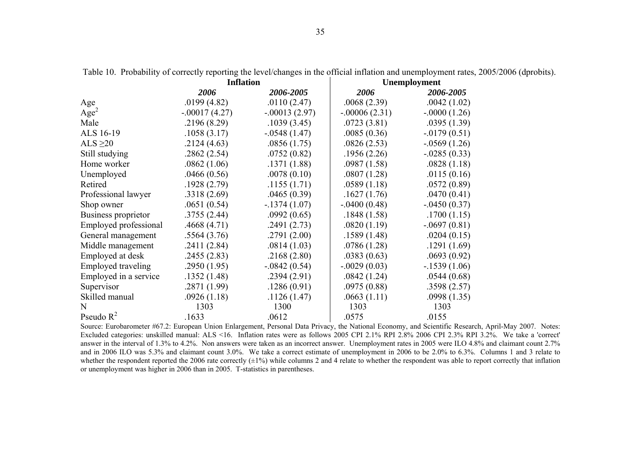|                       | <b>Inflation</b> |                 | <b>Unemployment</b> |                 |  |
|-----------------------|------------------|-----------------|---------------------|-----------------|--|
|                       | 2006             | 2006-2005       | 2006                | 2006-2005       |  |
| Age                   | .0199(4.82)      | .0110(2.47)     | .0068(2.39)         | .0042(1.02)     |  |
| Age <sup>2</sup>      | $-.00017(4.27)$  | $-.00013(2.97)$ | $-.00006(2.31)$     | $-.0000(1.26)$  |  |
| Male                  | .2196(8.29)      | .1039(3.45)     | .0723(3.81)         | .0395(1.39)     |  |
| ALS 16-19             | .1058(3.17)      | $-.0548(1.47)$  | .0085(0.36)         | $-0.0179(0.51)$ |  |
| ALS $\geq$ 20         | .2124(4.63)      | .0856(1.75)     | .0826(2.53)         | $-0.0569(1.26)$ |  |
| Still studying        | .2862(2.54)      | .0752(0.82)     | .1956(2.26)         | $-0.0285(0.33)$ |  |
| Home worker           | .0862(1.06)      | .1371(1.88)     | .0987(1.58)         | .0828(1.18)     |  |
| Unemployed            | .0466(0.56)      | .0078(0.10)     | .0807(1.28)         | .0115(0.16)     |  |
| Retired               | .1928(2.79)      | .1155(1.71)     | .0589(1.18)         | .0572(0.89)     |  |
| Professional lawyer   | .3318(2.69)      | .0465(0.39)     | .1627(1.76)         | .0470(0.41)     |  |
| Shop owner            | .0651(0.54)      | $-1374(1.07)$   | $-.0400(0.48)$      | $-.0450(0.37)$  |  |
| Business proprietor   | .3755(2.44)      | .0992(0.65)     | .1848(1.58)         | .1700(1.15)     |  |
| Employed professional | .4668(4.71)      | .2491(2.73)     | .0820(1.19)         | $-.0697(0.81)$  |  |
| General management    | .5564(3.76)      | .2791(2.00)     | .1589(1.48)         | .0204(0.15)     |  |
| Middle management     | .2411(2.84)      | .0814(1.03)     | .0786(1.28)         | .1291(1.69)     |  |
| Employed at desk      | .2455(2.83)      | .2168(2.80)     | .0383(0.63)         | .0693(0.92)     |  |
| Employed traveling    | .2950(1.95)      | $-0.0842(0.54)$ | $-.0029(0.03)$      | $-1539(1.06)$   |  |
| Employed in a service | .1352(1.48)      | .2394(2.91)     | .0842(1.24)         | .0544(0.68)     |  |
| Supervisor            | .2871(1.99)      | .1286(0.91)     | .0975(0.88)         | .3598(2.57)     |  |
| Skilled manual        | .0926(1.18)      | .1126(1.47)     | .0663(1.11)         | .0998(1.35)     |  |
| N                     | 1303             | 1300            | 1303                | 1303            |  |
| Pseudo $R^2$          | 1633             | 0612            | 0575                | 0155            |  |

Table 10. Probability of correctly reporting the level/changes in the official inflation and unemployment rates, 2005/2006 (dprobits).

Pseudo R<sup>2</sup> .1633 .0612 .0575 .0575 .0155<br>Source: Eurobarometer #67.2: European Union Enlargement, Personal Data Privacy, the National Economy, and Scientific Research, April-May 2007. Notes: Excluded categories: unskilled manual: ALS <16. Inflation rates were as follows 2005 CPI 2.1% RPI 2.8% 2006 CPI 2.3% RPI 3.2%. We take a 'correct' answer in the interval of 1.3% to 4.2%. Non answers were taken as an incorrect answer. Unemployment rates in 2005 were ILO 4.8% and claimant count 2.7% and in 2006 ILO was 5.3% and claimant count 3.0%. We take a correct estimate of unemployment in 2006 to be 2.0% to 6.3%. Columns 1 and 3 relate to whether the respondent reported the 2006 rate correctly  $(\pm 1\%)$  while columns 2 and 4 relate to whether the respondent was able to report correctly that inflation or unemployment was higher in 2006 than in 2005. T-statistics in parentheses.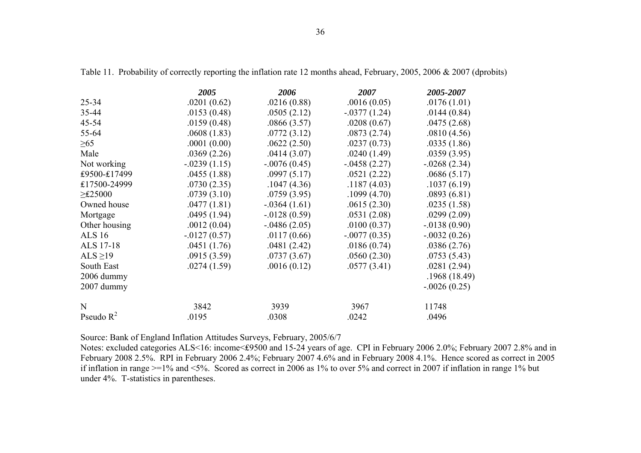|               | 2005           | 2006            | 2007           | 2005-2007       |
|---------------|----------------|-----------------|----------------|-----------------|
| $25 - 34$     | .0201(0.62)    | .0216(0.88)     | .0016(0.05)    | .0176(1.01)     |
| 35-44         | .0153(0.48)    | .0505(2.12)     | $-.0377(1.24)$ | .0144(0.84)     |
| $45 - 54$     | .0159(0.48)    | .0866(3.57)     | .0208(0.67)    | .0475(2.68)     |
| 55-64         | .0608(1.83)    | .0772(3.12)     | .0873(2.74)    | .0810(4.56)     |
| $\geq 65$     | .0001(0.00)    | .0622(2.50)     | .0237(0.73)    | .0335(1.86)     |
| Male          | .0369(2.26)    | .0414(3.07)     | .0240(1.49)    | .0359(3.95)     |
| Not working   | $-.0239(1.15)$ | $-.0076(0.45)$  | $-.0458(2.27)$ | $-0.0268(2.34)$ |
| £9500-£17499  | .0455(1.88)    | .0997(5.17)     | .0521(2.22)    | .0686(5.17)     |
| £17500-24999  | .0730(2.35)    | .1047(4.36)     | .1187(4.03)    | .1037(6.19)     |
| $\geq$ £25000 | .0739(3.10)    | .0759(3.95)     | .1099(4.70)    | .0893(6.81)     |
| Owned house   | .0477(1.81)    | $-.0364(1.61)$  | .0615(2.30)    | .0235(1.58)     |
| Mortgage      | .0495(1.94)    | $-0128(0.59)$   | .0531(2.08)    | .0299(2.09)     |
| Other housing | .0012(0.04)    | $-0.0486(2.05)$ | .0100(0.37)    | $-0.0138(0.90)$ |
| <b>ALS</b> 16 | $-0127(0.57)$  | .0117(0.66)     | $-.0077(0.35)$ | $-0.032(0.26)$  |
| ALS 17-18     | .0451(1.76)    | .0481(2.42)     | .0186(0.74)    | .0386(2.76)     |
| ALS $\geq$ 19 | .0915(3.59)    | .0737(3.67)     | .0560(2.30)    | .0753(5.43)     |
| South East    | .0274(1.59)    | .0016(0.12)     | .0577(3.41)    | .0281(2.94)     |
| 2006 dummy    |                |                 |                | .1968(18.49)    |
| 2007 dummy    |                |                 |                | $-.0026(0.25)$  |
| N             | 3842           | 3939            | 3967           | 11748           |
| Pseudo $R^2$  | .0195          | .0308           | .0242          | .0496           |

Table 11. Probability of correctly reporting the inflation rate 12 months ahead, February, 2005, 2006 & 2007 (dprobits)

Source: Bank of England Inflation Attitudes Surveys, February, 2005/6/7

Notes: excluded categories ALS<16: income<₤9500 and 15-24 years of age. CPI in February 2006 2.0%; February 2007 2.8% and in February 2008 2.5%. RPI in February 2006 2.4%; February 2007 4.6% and in February 2008 4.1%. Hence scored as correct in 2005 if inflation in range >=1% and <5%. Scored as correct in 2006 as 1% to over 5% and correct in 2007 if inflation in range 1% but under 4%. T-statistics in parentheses.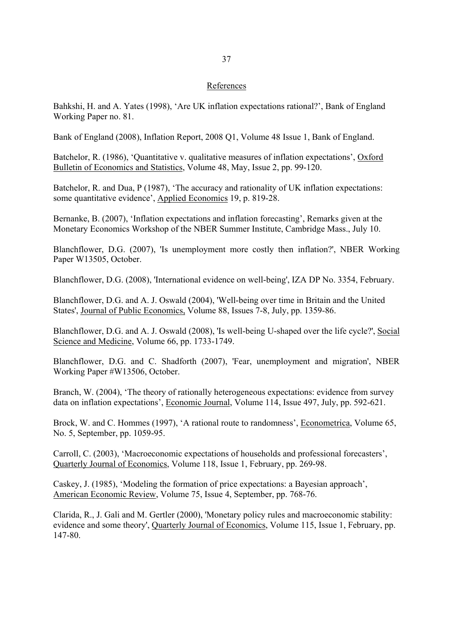# References

Bahkshi, H. and A. Yates (1998), 'Are UK inflation expectations rational?', Bank of England Working Paper no. 81.

Bank of England (2008), Inflation Report, 2008 Q1, Volume 48 Issue 1, Bank of England.

Batchelor, R. (1986), 'Quantitative v. qualitative measures of inflation expectations', Oxford Bulletin of Economics and Statistics, Volume 48, May, Issue 2, pp. 99-120.

Batchelor, R. and Dua, P (1987), 'The accuracy and rationality of UK inflation expectations: some quantitative evidence', Applied Economics 19, p. 819-28.

Bernanke, B. (2007), 'Inflation expectations and inflation forecasting', Remarks given at the Monetary Economics Workshop of the NBER Summer Institute, Cambridge Mass., July 10.

Blanchflower, D.G. (2007), 'Is unemployment more costly then inflation?', NBER Working Paper W13505, October.

Blanchflower, D.G. (2008), 'International evidence on well-being', IZA DP No. 3354, February.

Blanchflower, D.G. and A. J. Oswald (2004), 'Well-being over time in Britain and the United States', Journal of Public Economics, Volume 88, Issues 7-8, July, pp. 1359-86.

Blanchflower, D.G. and A. J. Oswald (2008), 'Is well-being U-shaped over the life cycle?', Social Science and Medicine, Volume 66, pp. 1733-1749.

Blanchflower, D.G. and C. Shadforth (2007), 'Fear, unemployment and migration', NBER Working Paper #W13506, October.

Branch, W. (2004), 'The theory of rationally heterogeneous expectations: evidence from survey data on inflation expectations', Economic Journal, Volume 114, Issue 497, July, pp. 592-621.

Brock, W. and C. Hommes (1997), 'A rational route to randomness', Econometrica, Volume 65, No. 5, September, pp. 1059-95.

Carroll, C. (2003), 'Macroeconomic expectations of households and professional forecasters', Quarterly Journal of Economics, Volume 118, Issue 1, February, pp. 269-98.

Caskey, J. (1985), 'Modeling the formation of price expectations: a Bayesian approach', American Economic Review, Volume 75, Issue 4, September, pp. 768-76.

Clarida, R., J. Gali and M. Gertler (2000), 'Monetary policy rules and macroeconomic stability: evidence and some theory', Quarterly Journal of Economics, Volume 115, Issue 1, February, pp. 147-80.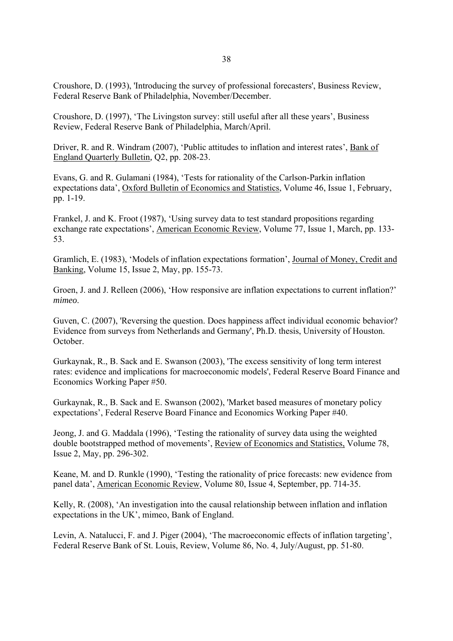Croushore, D. (1993), 'Introducing the survey of professional forecasters', Business Review, Federal Reserve Bank of Philadelphia, November/December.

Croushore, D. (1997), 'The Livingston survey: still useful after all these years', Business Review, Federal Reserve Bank of Philadelphia, March/April.

Driver, R. and R. Windram (2007), 'Public attitudes to inflation and interest rates', Bank of England Quarterly Bulletin*,* Q2, pp. 208-23.

Evans, G. and R. Gulamani (1984), 'Tests for rationality of the Carlson-Parkin inflation expectations data', Oxford Bulletin of Economics and Statistics, Volume 46, Issue 1, February, pp. 1-19.

Frankel, J. and K. Froot (1987), 'Using survey data to test standard propositions regarding exchange rate expectations', American Economic Review, Volume 77, Issue 1, March, pp. 133- 53.

Gramlich, E. (1983), 'Models of inflation expectations formation', Journal of Money, Credit and Banking, Volume 15, Issue 2, May, pp. 155-73.

Groen, J. and J. Relleen (2006), 'How responsive are inflation expectations to current inflation?' *mimeo*.

Guven, C. (2007), 'Reversing the question. Does happiness affect individual economic behavior? Evidence from surveys from Netherlands and Germany', Ph.D. thesis, University of Houston. October.

Gurkaynak, R., B. Sack and E. Swanson (2003), 'The excess sensitivity of long term interest rates: evidence and implications for macroeconomic models', Federal Reserve Board Finance and Economics Working Paper #50.

Gurkaynak, R., B. Sack and E. Swanson (2002), 'Market based measures of monetary policy expectations', Federal Reserve Board Finance and Economics Working Paper #40.

Jeong, J. and G. Maddala (1996), 'Testing the rationality of survey data using the weighted double bootstrapped method of movements', Review of Economics and Statistics, Volume 78, Issue 2, May, pp. 296-302.

Keane, M. and D. Runkle (1990), 'Testing the rationality of price forecasts: new evidence from panel data', American Economic Review, Volume 80, Issue 4, September, pp. 714-35.

Kelly, R. (2008), 'An investigation into the causal relationship between inflation and inflation expectations in the UK', mimeo, Bank of England.

Levin, A. Natalucci, F. and J. Piger (2004), 'The macroeconomic effects of inflation targeting', Federal Reserve Bank of St. Louis, Review, Volume 86, No. 4, July/August, pp. 51-80.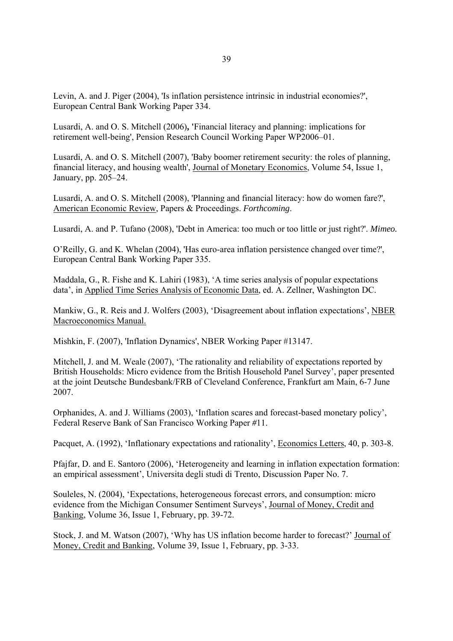Levin, A. and J. Piger (2004), 'Is inflation persistence intrinsic in industrial economies?', European Central Bank Working Paper 334.

Lusardi, A. and O. S. Mitchell (2006)**, '**Financial literacy and planning: implications for retirement well-being', Pension Research Council Working Paper WP2006–01.

Lusardi, A. and O. S. Mitchell (2007), 'Baby boomer retirement security: the roles of planning, financial literacy, and housing wealth', Journal of Monetary Economics, Volume 54, Issue 1, January, pp. 205–24.

Lusardi, A. and O. S. Mitchell (2008), 'Planning and financial literacy: how do women fare?', American Economic Review, Papers & Proceedings. *Forthcoming*.

Lusardi, A. and P. Tufano (2008), 'Debt in America: too much or too little or just right?'. *Mimeo.*

O'Reilly, G. and K. Whelan (2004), 'Has euro-area inflation persistence changed over time?', European Central Bank Working Paper 335.

Maddala, G., R. Fishe and K. Lahiri (1983), 'A time series analysis of popular expectations data', in Applied Time Series Analysis of Economic Data, ed. A. Zellner, Washington DC.

Mankiw, G., R. Reis and J. Wolfers (2003), 'Disagreement about inflation expectations', NBER Macroeconomics Manual.

Mishkin, F. (2007), 'Inflation Dynamics', NBER Working Paper #13147.

Mitchell, J. and M. Weale (2007), 'The rationality and reliability of expectations reported by British Households: Micro evidence from the British Household Panel Survey', paper presented at the joint Deutsche Bundesbank/FRB of Cleveland Conference, Frankfurt am Main, 6-7 June 2007.

Orphanides, A. and J. Williams (2003), 'Inflation scares and forecast-based monetary policy', Federal Reserve Bank of San Francisco Working Paper *#*11.

Pacquet, A. (1992), 'Inflationary expectations and rationality', Economics Letters, 40, p. 303-8.

Pfajfar, D. and E. Santoro (2006), 'Heterogeneity and learning in inflation expectation formation: an empirical assessment', Universita degli studi di Trento, Discussion Paper No. 7.

Souleles, N. (2004), 'Expectations, heterogeneous forecast errors, and consumption: micro evidence from the Michigan Consumer Sentiment Surveys', Journal of Money, Credit and Banking, Volume 36, Issue 1, February, pp. 39-72.

Stock, J. and M. Watson (2007), 'Why has US inflation become harder to forecast?' Journal of Money, Credit and Banking, Volume 39, Issue 1, February, pp. 3-33.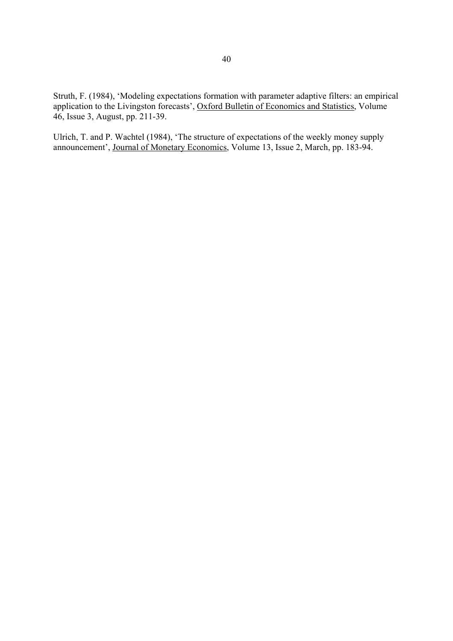Struth, F. (1984), 'Modeling expectations formation with parameter adaptive filters: an empirical application to the Livingston forecasts', Oxford Bulletin of Economics and Statistics, Volume 46, Issue 3, August, pp. 211-39.

Ulrich, T. and P. Wachtel (1984), 'The structure of expectations of the weekly money supply announcement', Journal of Monetary Economics, Volume 13, Issue 2, March, pp. 183-94.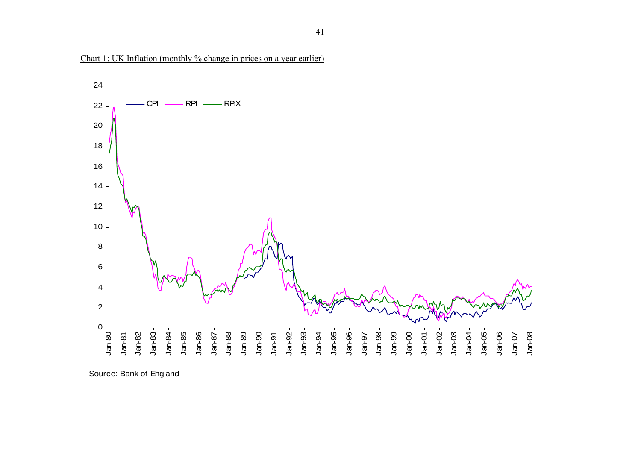

Chart 1: UK Inflation (monthly % change in prices on a year earlier)

Source: Bank of England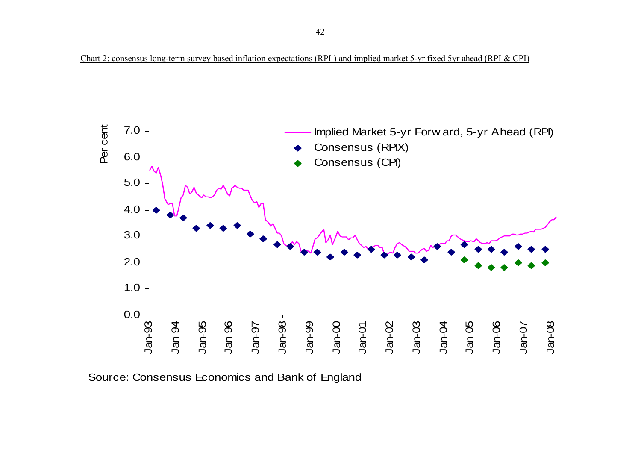

Source: Consensus Economics and Bank of England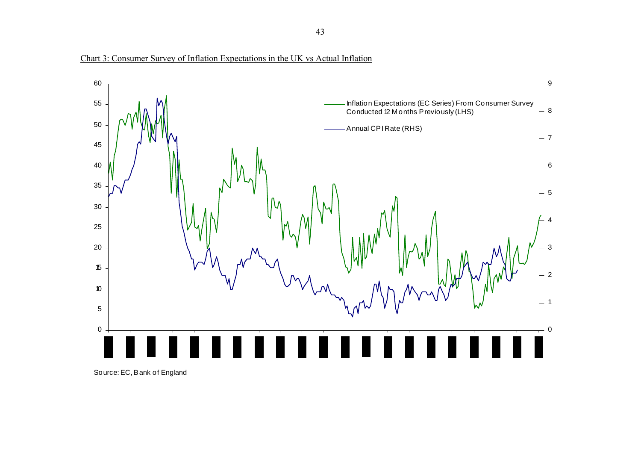



Source: EC, Bank of England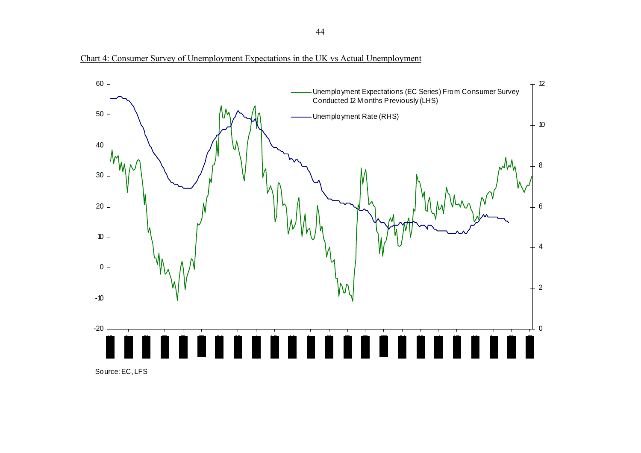

Chart 4: Consumer Survey of Unemployment Expectations in the UK vs Actual Unemployment

Source: EC, LFS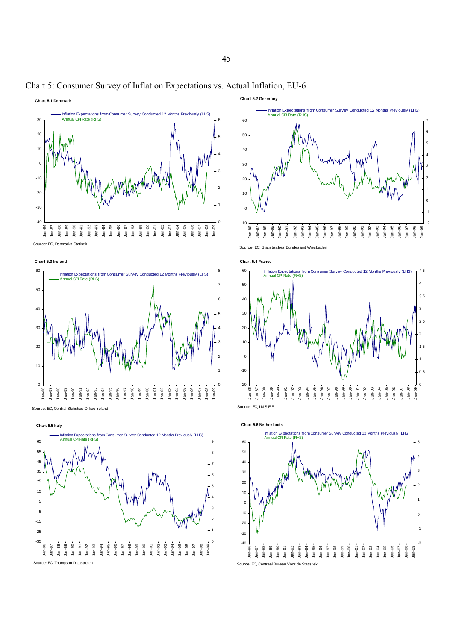

# Chart 5: Consumer Survey of Inflation Expectations vs. Actual Inflation, EU-6



Source: EC, Central Statistics Office Ireland

**Chart 5.5 Italy** -35 -25 -15 -5 5 15 25 35 45 55 **65** Jan-86 Jan-87 Jan-88 Jan-89 Jan-90 Jan-91 Jan-92 Jan-93 Jan-94 Jan-95 Jan-96 Jan-97 Jan-98 Jan-99 Jan-00 Jan-01 Jan-02 Jan-03 Jan-04 Jan-05 Jan-06 Jan-07 Jan-08 Jan-09 Source: EC, Thompson Datastre 0 1 2 3 4 5 6 7 8 9 **Isly (LHS)** Annual CPI Rate (RHS)







**Chart 5.2 Germany**